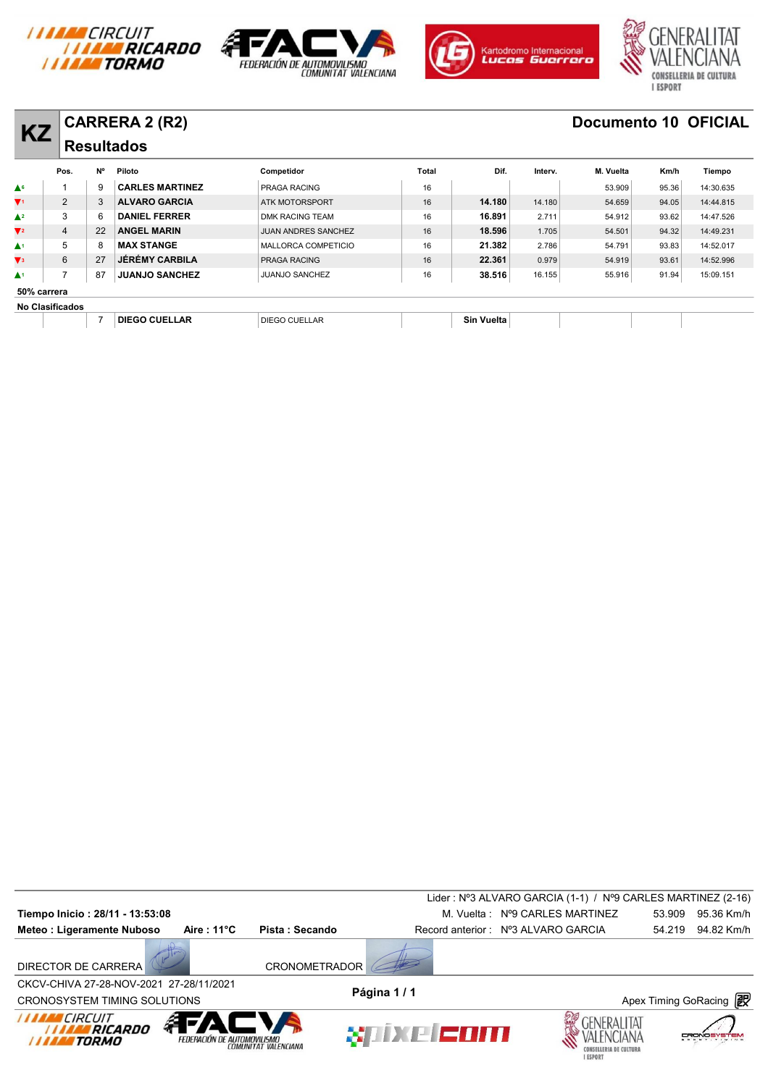







|                           |                        |    | <b>CARRERA 2 (R2)</b>  |                            |              |            |         | <b>Documento 10 OFICIAL</b> |       |           |
|---------------------------|------------------------|----|------------------------|----------------------------|--------------|------------|---------|-----------------------------|-------|-----------|
| <b>KZ</b>                 |                        |    | <b>Resultados</b>      |                            |              |            |         |                             |       |           |
|                           | Pos.                   | N° | Piloto                 | Competidor                 | <b>Total</b> | Dif.       | Interv. | M. Vuelta                   | Km/h  | Tiempo    |
| $\triangle^6$             |                        | 9  | <b>CARLES MARTINEZ</b> | PRAGA RACING               | 16           |            |         | 53.909                      | 95.36 | 14:30.635 |
| $\Psi$ 1                  | $\overline{2}$         | 3  | <b>ALVARO GARCIA</b>   | ATK MOTORSPORT             | 16           | 14.180     | 14.180  | 54.659                      | 94.05 | 14:44.815 |
| $\triangle^2$             | 3                      | 6  | <b>DANIEL FERRER</b>   | DMK RACING TEAM            | 16           | 16.891     | 2.711   | 54.912                      | 93.62 | 14:47.526 |
| $\nabla$ 2                | 4                      | 22 | <b>ANGEL MARIN</b>     | <b>JUAN ANDRES SANCHEZ</b> | 16           | 18.596     | 1.705   | 54.501                      | 94.32 | 14:49.231 |
| $\blacktriangle^1$        | 5                      | 8  | <b>MAX STANGE</b>      | MALLORCA COMPETICIO        | 16           | 21.382     | 2.786   | 54.791                      | 93.83 | 14:52.017 |
| $\mathbf{V}$ <sub>3</sub> | 6                      | 27 | <b>JÉRÉMY CARBILA</b>  | <b>PRAGA RACING</b>        | 16           | 22.361     | 0.979   | 54.919                      | 93.61 | 14:52.996 |
| $\blacktriangle^1$        |                        | 87 | <b>JUANJO SANCHEZ</b>  | <b>JUANJO SANCHEZ</b>      | 16           | 38.516     | 16.155  | 55.916                      | 91.94 | 15:09.151 |
|                           | 50% carrera            |    |                        |                            |              |            |         |                             |       |           |
|                           | <b>No Clasificados</b> |    |                        |                            |              |            |         |                             |       |           |
|                           |                        |    | <b>DIEGO CUELLAR</b>   | <b>DIEGO CUELLAR</b>       |              | Sin Vuelta |         |                             |       |           |

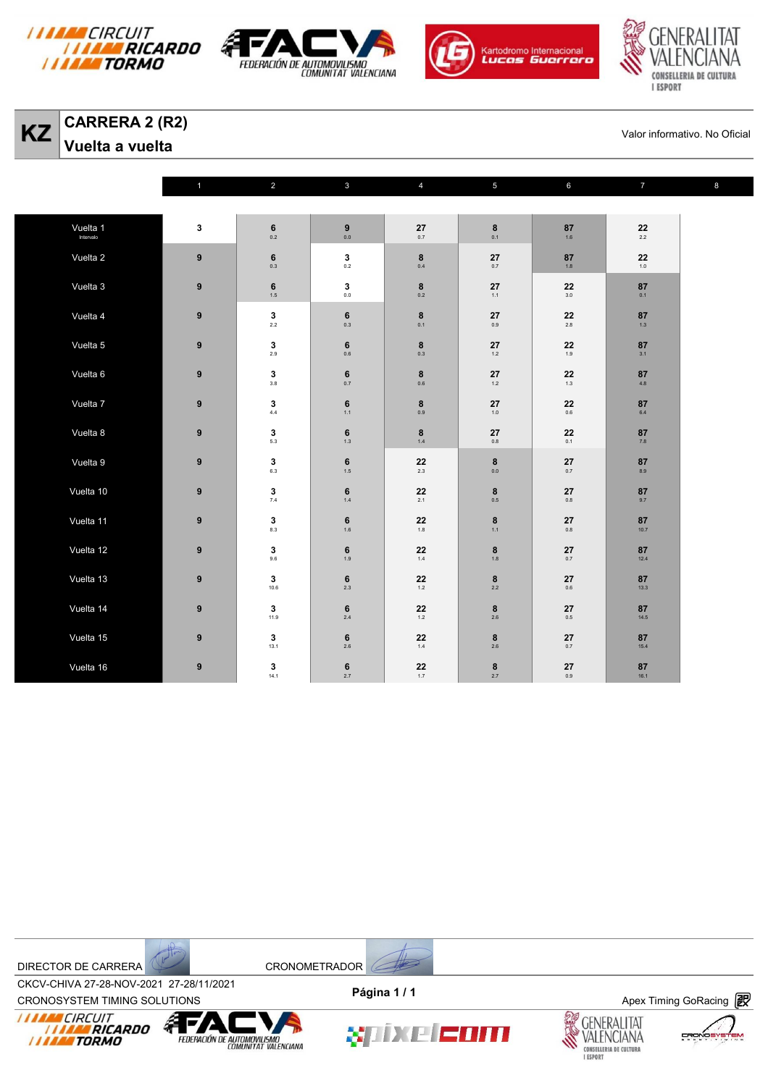







**KZ** CARRERA 2 (R2)<br>
Valor informativo. No Oficial<br>
Valor informativo. No Oficial

**Vuelta a vuelta** 

|           | $\mathbf{1}$     | $\overline{2}$               | $\mathbf{3}$            | $\overline{4}$                             | $\overline{5}$                                   | $6\phantom{a}$        | $\overline{7}$                                   | $\bf8$ |
|-----------|------------------|------------------------------|-------------------------|--------------------------------------------|--------------------------------------------------|-----------------------|--------------------------------------------------|--------|
|           |                  |                              |                         |                                            |                                                  |                       |                                                  |        |
| Vuelta 1  | $\mathbf{3}$     | $\bf 6$<br>0.2               | $\pmb{9}$<br>0.0        | $\mathbf{27}_{_{\scriptscriptstyle{0.7}}}$ | $\begin{array}{c} \mathbf{8} \\ 0.1 \end{array}$ | 87<br>1.6             | $\mathbf{22} \atop \mathbf{2.2}$                 |        |
| Vuelta 2  | 9                | $\bf 6$<br>$0.3\,$           | $\mathbf{3}$<br>$0.2\,$ | $\bf8$<br>$0.4\,$                          | 27<br>0.7                                        | 87<br>$1.8$           | ${\bf 22}$<br>$1.0\,$                            |        |
| Vuelta 3  | $\boldsymbol{9}$ | $\bf 6$<br>1.5               | 3<br>$0.0\,$            | $\bf8$<br>0.2                              | ${\bf 27}$<br>$1.1$                              | 22<br>$3.0\,$         | 87<br>0.1                                        |        |
| Vuelta 4  | $\boldsymbol{9}$ | $\mathbf 3$<br>2.2           | $\bf 6$<br>0.3          | $\bf8$<br>0.1                              | 27<br>0.9                                        | 22<br>$2.8\,$         | 87<br>1.3                                        |        |
| Vuelta 5  | 9                | $\mathbf{3}_{2.9}$           | $\bf 6$<br>$0.6\,$      | 8<br>$0.3\,$                               | 27<br>1.2                                        | 22<br>1.9             | ${\bf 87}$<br>3.1                                |        |
| Vuelta 6  | $\boldsymbol{9}$ | $\mathbf 3$<br>$3.8\,$       | $\bf 6$<br>$0.7\,$      | $\bf8$<br>$0.6\,$                          | 27<br>$1.2\,$                                    | ${\bf 22}$<br>1.3     | 87<br>4.8                                        |        |
| Vuelta 7  | 9                | $3\n4.4$                     | $\bf 6$<br>$1.1$        | $\bf8$<br>0.9                              | 27<br>$1.0\,$                                    | ${\bf 22}$<br>$0.6\,$ | $\begin{array}{c} \mathbf{87}\\ 6.4 \end{array}$ |        |
| Vuelta 8  | $\boldsymbol{9}$ | $\mathbf 3$<br>5.3           | $\bf 6$<br>$1.3\,$      | $\bf8$<br>$1.4\,$                          | 27<br>$0.8\,$                                    | 22<br>0.1             | 87<br>$\bf 7.8$                                  |        |
| Vuelta 9  | 9                | $\mathbf{3}_{6.3}$           | $\bf 6$<br>$1.5$        | 22<br>2.3                                  | 8<br>0.0                                         | 27<br>0.7             | $\mathbf{87}_{\scriptscriptstyle{8.9}}$          |        |
| Vuelta 10 | $\boldsymbol{9}$ | $\mathbf 3$<br>$7.4\,$       | $\bf 6$<br>$1.4\,$      | ${\bf 22}$<br>2.1                          | $\bf8$<br>$0.5\,$                                | 27<br>$0.8\,$         | ${\bf 87}$<br>9.7                                |        |
| Vuelta 11 | $\boldsymbol{9}$ | $\mathbf{3}_{_{\tiny{8.3}}}$ | $\bf 6$<br>$1.6\,$      | 22<br>$1.8\,$                              | $\bf8$<br>1.1                                    | ${\bf 27}$<br>$0.8\,$ | ${\bf 87}$<br>10.7                               |        |
| Vuelta 12 | 9                | $\mathbf 3$<br>9.6           | $\bf 6$<br>1.9          | 22<br>$1.4\,$                              | 8<br>1.8                                         | 27<br>$0.7\,$         | 87<br>12.4                                       |        |
| Vuelta 13 | $\boldsymbol{9}$ | $\mathbf 3$<br>10.6          | $\bf 6$<br>$2.3\,$      | 22<br>$1.2\,$                              | $\bf8$<br>$2.2\,$                                | 27<br>$0.6\,$         | ${\bf 87}$<br>13.3                               |        |
| Vuelta 14 | $\boldsymbol{9}$ | $\mathbf 3$<br>11.9          | $\bf 6$<br>$2.4\,$      | 22<br>$1.2\,$                              | $\bf8$<br>$2.6\,$                                | ${\bf 27}$<br>$0.5\,$ | ${\bf 87}$<br>14.5                               |        |
| Vuelta 15 | 9                | $\mathbf 3$<br>13.1          | $\bf 6$<br>$2.6\,$      | 22<br>$1.4\,$                              | $\bf8$<br>$2.6\,$                                | 27<br>$0.7\,$         | 87<br>15.4                                       |        |
| Vuelta 16 | $\pmb{9}$        | $\mathbf 3$<br>14.1          | $\bf 6$<br>$2.7\,$      | ${\bf 22}$<br>1.7                          | $\bf8$<br>2.7                                    | ${\bf 27}$<br>$0.9\,$ | ${\bf 87}$<br>16.1                               |        |





CROV-CHIVA 27-20-NOV-2021 27-20711/2021<br>CRONOSYSTEM TIMING SOLUTIONS **Apex Timing GoRacing** CKCV-CHIVA 27-28-NOV-2021 27-28/11/2021 **Página 1 / 1**









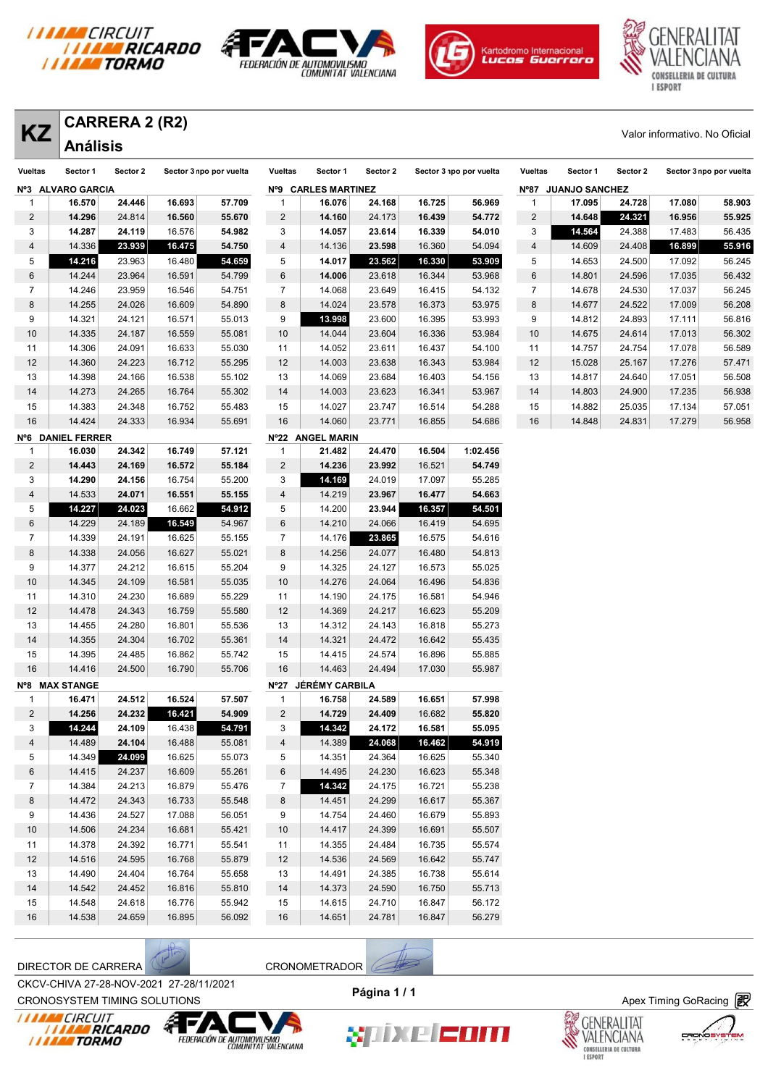







| <b>Vueltas</b>          | Sector 1          | Sector 2 | Sector 3 npo por vuelta |        | Vueltas        | Sector 1            | Sector 2 |        | Sector 3 npo por vuelta | Vueltas | Sector 1            | Sector 2 | Sector 3 npo por vuelta |        |
|-------------------------|-------------------|----------|-------------------------|--------|----------------|---------------------|----------|--------|-------------------------|---------|---------------------|----------|-------------------------|--------|
|                         | Nº3 ALVARO GARCIA |          |                         |        |                | Nº9 CARLES MARTINEZ |          |        |                         |         | Nº87 JUANJO SANCHEZ |          |                         |        |
| 1                       | 16.570            | 24.446   | 16.693                  | 57.709 | 1              | 16.076              | 24.168   | 16.725 | 56.969                  | 1       | 17.095              | 24.728   | 17.080                  | 58.903 |
| $\overline{2}$          | 14.296            | 24.814   | 16.560                  | 55.670 | $\overline{2}$ | 14.160              | 24.173   | 16.439 | 54.772                  | 2       | 14.648              | 24.321   | 16.956                  | 55.925 |
| 3                       | 14.287            | 24.119   | 16.576                  | 54.982 | 3              | 14.057              | 23.614   | 16.339 | 54.010                  | 3       | 14.564              | 24.388   | 17.483                  | 56.435 |
| $\overline{4}$          | 14.336            | 23.939   | 16.475                  | 54.750 | 4              | 14.136              | 23.598   | 16.360 | 54.094                  | 4       | 14.609              | 24.408   | 16.899                  | 55.916 |
| 5                       | 14.216            | 23.963   | 16.480                  | 54.659 | 5              | 14.017              | 23.562   | 16.330 | 53.909                  | 5       | 14.653              | 24.500   | 17.092                  | 56.245 |
| 6                       | 14.244            | 23.964   | 16.591                  | 54.799 | 6              | 14.006              | 23.618   | 16.344 | 53.968                  | 6       | 14.801              | 24.596   | 17.035                  | 56.432 |
| $\overline{7}$          | 14.246            | 23.959   | 16.546                  | 54.751 | $\overline{7}$ | 14.068              | 23.649   | 16.415 | 54.132                  | 7       | 14.678              | 24.530   | 17.037                  | 56.245 |
| 8                       | 14.255            | 24.026   | 16.609                  | 54.890 | 8              | 14.024              | 23.578   | 16.373 | 53.975                  | 8       | 14.677              | 24.522   | 17.009                  | 56.208 |
| 9                       | 14.321            | 24.121   | 16.571                  | 55.013 | 9              | 13.998              | 23.600   | 16.395 | 53.993                  | 9       | 14.812              | 24.893   | 17.111                  | 56.816 |
| 10                      | 14.335            | 24.187   | 16.559                  | 55.081 | 10             | 14.044              | 23.604   | 16.336 | 53.984                  | 10      | 14.675              | 24.614   | 17.013                  | 56.302 |
| 11                      | 14.306            | 24.091   | 16.633                  | 55.030 | 11             | 14.052              | 23.611   | 16.437 | 54.100                  | 11      | 14.757              | 24.754   | 17.078                  | 56.589 |
| 12                      | 14.360            | 24.223   | 16.712                  | 55.295 | 12             | 14.003              | 23.638   | 16.343 | 53.984                  | 12      | 15.028              | 25.167   | 17.276                  | 57.471 |
| 13                      | 14.398            | 24.166   | 16.538                  | 55.102 | 13             | 14.069              | 23.684   | 16.403 | 54.156                  | 13      | 14.817              | 24.640   | 17.051                  | 56.508 |
| 14                      | 14.273            | 24.265   | 16.764                  | 55.302 | 14             | 14.003              | 23.623   | 16.341 | 53.967                  | 14      | 14.803              | 24.900   | 17.235                  | 56.938 |
| 15                      | 14.383            | 24.348   | 16.752                  | 55.483 | 15             | 14.027              | 23.747   | 16.514 | 54.288                  | 15      | 14.882              | 25.035   | 17.134                  | 57.051 |
| 16                      | 14.424            | 24.333   | 16.934                  | 55.691 | 16             | 14.060              | 23.771   | 16.855 | 54.686                  | 16      | 14.848              | 24.831   | 17.279                  | 56.958 |
|                         | Nº6 DANIEL FERRER |          |                         |        |                | Nº22 ANGEL MARIN    |          |        |                         |         |                     |          |                         |        |
| 1                       | 16.030            | 24.342   | 16.749                  | 57.121 | 1              | 21.482              | 24.470   | 16.504 | 1:02.456                |         |                     |          |                         |        |
| $\overline{c}$          | 14.443            | 24.169   | 16.572                  | 55.184 | $\overline{c}$ | 14.236              | 23.992   | 16.521 | 54.749                  |         |                     |          |                         |        |
| 3                       | 14.290            | 24.156   | 16.754                  | 55.200 | 3              | 14.169              | 24.019   | 17.097 | 55.285                  |         |                     |          |                         |        |
| $\overline{\mathbf{4}}$ | 14.533            | 24.071   | 16.551                  | 55.155 | 4              | 14.219              | 23.967   | 16.477 | 54.663                  |         |                     |          |                         |        |
| 5                       | 14.227            | 24.023   | 16.662                  | 54.912 | 5              | 14.200              | 23.944   | 16.357 | 54.501                  |         |                     |          |                         |        |
| 6                       | 14.229            | 24.189   | 16.549                  | 54.967 | 6              | 14.210              | 24.066   | 16.419 | 54.695                  |         |                     |          |                         |        |
| $\overline{7}$          | 14.339            | 24.191   | 16.625                  | 55.155 | $\overline{7}$ | 14.176              | 23.865   | 16.575 | 54.616                  |         |                     |          |                         |        |
| 8                       | 14.338            | 24.056   | 16.627                  | 55.021 | 8              | 14.256              | 24.077   | 16.480 | 54.813                  |         |                     |          |                         |        |
| 9                       | 14.377            | 24.212   | 16.615                  | 55.204 | 9              | 14.325              | 24.127   | 16.573 | 55.025                  |         |                     |          |                         |        |
| 10                      | 14.345            | 24.109   | 16.581                  | 55.035 | 10             | 14.276              | 24.064   | 16.496 | 54.836                  |         |                     |          |                         |        |
| 11                      | 14.310            | 24.230   | 16.689                  | 55.229 | 11             | 14.190              | 24.175   | 16.581 | 54.946                  |         |                     |          |                         |        |
| 12                      | 14.478            | 24.343   | 16.759                  | 55.580 | 12             | 14.369              | 24.217   | 16.623 | 55.209                  |         |                     |          |                         |        |
| 13                      | 14.455            | 24.280   | 16.801                  | 55.536 | 13             | 14.312              | 24.143   | 16.818 | 55.273                  |         |                     |          |                         |        |
| 14                      | 14.355            | 24.304   | 16.702                  | 55.361 | 14             | 14.321              | 24.472   | 16.642 | 55.435                  |         |                     |          |                         |        |
| 15                      | 14.395            | 24.485   | 16.862                  | 55.742 | 15             | 14.415              | 24.574   | 16.896 | 55.885                  |         |                     |          |                         |        |
| 16                      | 14.416            | 24.500   | 16.790                  | 55.706 | 16             | 14.463              | 24.494   | 17.030 | 55.987                  |         |                     |          |                         |        |
|                         | Nº8 MAX STANGE    |          |                         |        |                | Nº27 JÉRÉMY CARBILA |          |        |                         |         |                     |          |                         |        |
| 1                       | 16.471            | 24.512   | 16.524                  | 57.507 | 1              | 16.758              | 24.589   | 16.651 | 57.998                  |         |                     |          |                         |        |
| $\overline{c}$          | 14.256            | 24.232   | 16.421                  | 54.909 | $\overline{2}$ | 14.729              | 24.409   | 16.682 | 55.820                  |         |                     |          |                         |        |
| 3                       | 14.244            | 24.109   | 16.438                  | 54.791 | 3              | 14.342              | 24.172   | 16.581 | 55.095                  |         |                     |          |                         |        |
| 4                       | 14.489            | 24.104   | 16.488                  | 55.081 | 4              | 14.389              | 24.068   | 16.462 | 54.919                  |         |                     |          |                         |        |
| 5                       | 14.349            | 24.099   | 16.625                  | 55.073 | 5              | 14.351              | 24.364   | 16.625 | 55.340                  |         |                     |          |                         |        |
| 6                       | 14.415            | 24.237   | 16.609                  | 55.261 | 6              | 14.495              | 24.230   | 16.623 | 55.348                  |         |                     |          |                         |        |
| $\overline{7}$          | 14.384            | 24.213   | 16.879                  | 55.476 | $\overline{7}$ | 14.342              | 24.175   | 16.721 | 55.238                  |         |                     |          |                         |        |
| 8                       | 14.472            | 24.343   | 16.733                  | 55.548 | 8              | 14.451              | 24.299   | 16.617 | 55.367                  |         |                     |          |                         |        |
| 9                       | 14.436            | 24.527   | 17.088                  | 56.051 | 9              | 14.754              | 24.460   | 16.679 | 55.893                  |         |                     |          |                         |        |
| 10                      | 14.506            | 24.234   | 16.681                  | 55.421 | 10             | 14.417              | 24.399   | 16.691 | 55.507                  |         |                     |          |                         |        |
| 11                      | 14.378            | 24.392   | 16.771                  | 55.541 | 11             | 14.355              | 24.484   | 16.735 | 55.574                  |         |                     |          |                         |        |
| 12                      | 14.516            | 24.595   | 16.768                  | 55.879 | 12             | 14.536              | 24.569   | 16.642 | 55.747                  |         |                     |          |                         |        |
| 13                      | 14.490            | 24.404   | 16.764                  | 55.658 | 13             | 14.491              | 24.385   | 16.738 | 55.614                  |         |                     |          |                         |        |
| 14                      | 14.542            | 24.452   | 16.816                  | 55.810 | 14             | 14.373              | 24.590   | 16.750 | 55.713                  |         |                     |          |                         |        |
| 15                      | 14.548            | 24.618   | 16.776                  | 55.942 | 15             | 14.615              | 24.710   | 16.847 | 56.172                  |         |                     |          |                         |        |
| 16                      | 14.538            | 24.659   | 16.895                  | 56.092 | 16             | 14.651              | 24.781   | 16.847 | 56.279                  |         |                     |          |                         |        |

DIRECTOR DE CARRERA CRONOMETRADOR













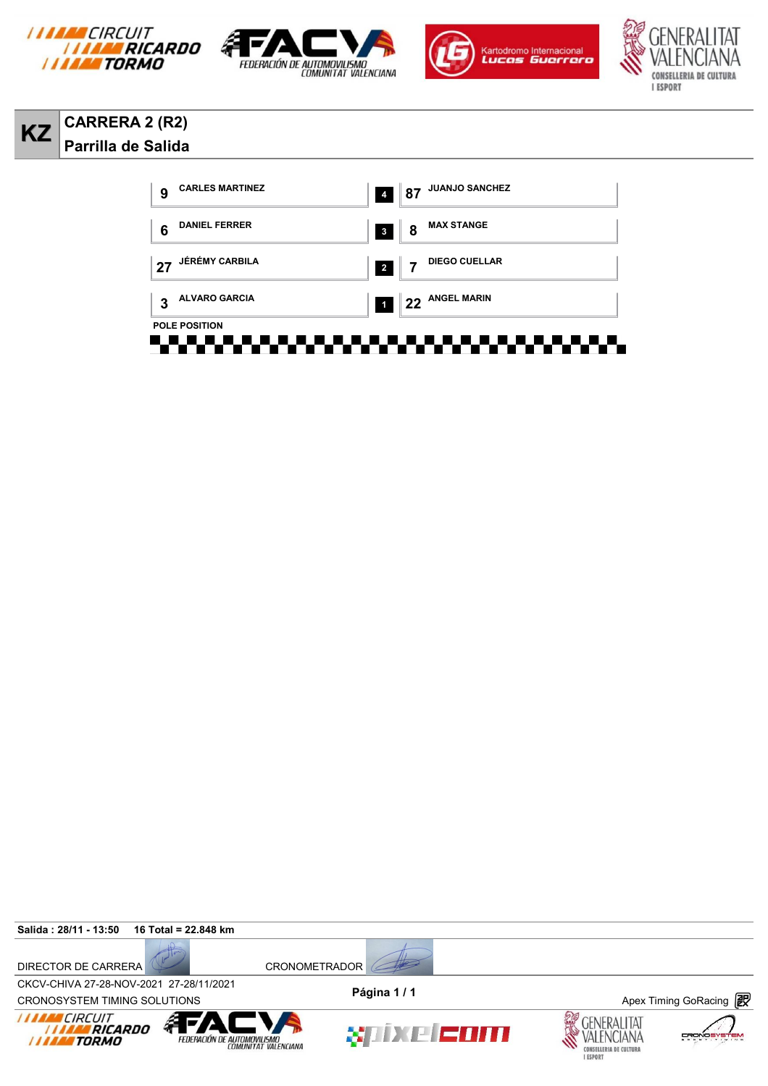









## **KZ CARRERA 2 (R2) Parrilla de Salida**



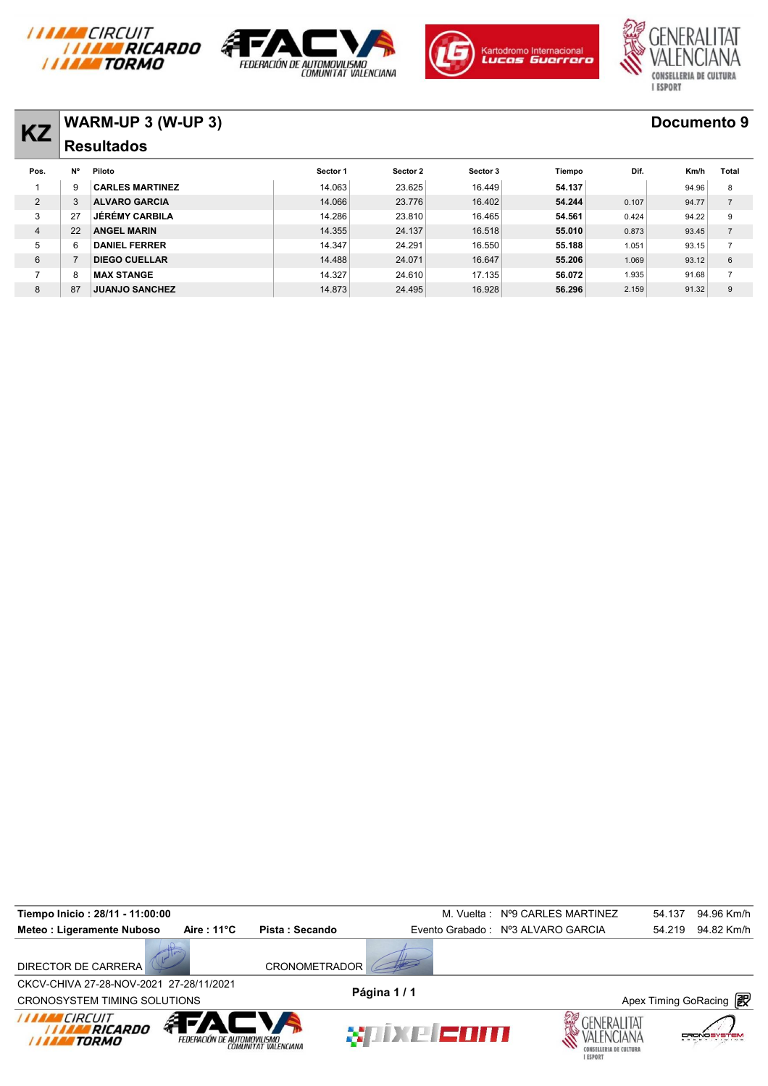







# **KZ WARM-UP 3 (W-UP 3) Documento 9**

| <b>KZ</b>      |           | <b>VVARIVI-UF J (VV-UF J)</b> |          |          |          |        |       | <b>DOCUMBILO 3</b> |                |
|----------------|-----------|-------------------------------|----------|----------|----------|--------|-------|--------------------|----------------|
|                |           | <b>Resultados</b>             |          |          |          |        |       |                    |                |
| Pos.           | <b>N°</b> | Piloto                        | Sector 1 | Sector 2 | Sector 3 | Tiempo | Dif.  | Km/h               | Total          |
|                | 9         | <b>CARLES MARTINEZ</b>        | 14.063   | 23.625   | 16.449   | 54.137 |       | 94.96              | 8              |
| $\overline{2}$ | 3         | <b>ALVARO GARCIA</b>          | 14.066   | 23.776   | 16.402   | 54.244 | 0.107 | 94.77              | $\overline{7}$ |
| 3              | 27        | <b>JÉRÉMY CARBILA</b>         | 14.286   | 23.810   | 16.465   | 54.561 | 0.424 | 94.22              | 9              |
| $\overline{4}$ | 22        | <b>ANGEL MARIN</b>            | 14.355   | 24.137   | 16.518   | 55.010 | 0.873 | 93.45              | $\overline{7}$ |
| 5              | 6         | <b>DANIEL FERRER</b>          | 14.347   | 24.291   | 16.550   | 55.188 | 1.051 | 93.15              | $\overline{ }$ |
| 6              |           | <b>DIEGO CUELLAR</b>          | 14.488   | 24.071   | 16.647   | 55.206 | 1.069 | 93.12              | 6              |
|                | 8         | <b>MAX STANGE</b>             | 14.327   | 24.610   | 17.135   | 56.072 | 1.935 | 91.68              | $\overline{7}$ |
| 8              | 87        | <b>JUANJO SANCHEZ</b>         | 14.873   | 24.495   | 16.928   | 56.296 | 2.159 | 91.32              | 9              |
|                |           |                               |          |          |          |        |       |                    |                |

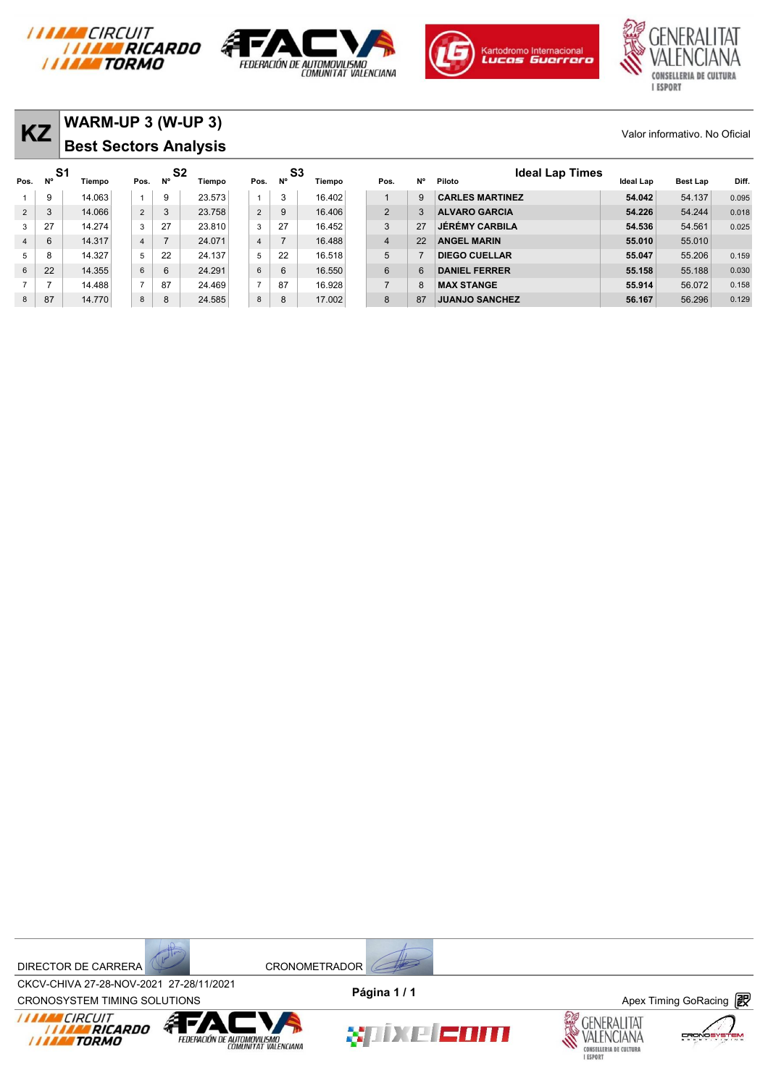







| KZ             |          | WARM-UP 3 (W-UP 3)<br><b>Best Sectors Analysis</b> |                |    |                          |                |                |        |                |           |                                  |           | Valor informativo. No Oficial |       |
|----------------|----------|----------------------------------------------------|----------------|----|--------------------------|----------------|----------------|--------|----------------|-----------|----------------------------------|-----------|-------------------------------|-------|
| Pos.           | S1<br>N° | Tiempo                                             | Pos.           | N° | S <sub>2</sub><br>Tiempo | N°<br>Pos.     | S3             | Tiempo | Pos.           | <b>N°</b> | <b>Ideal Lap Times</b><br>Piloto | Ideal Lap | <b>Best Lap</b>               | Diff. |
|                | 9        | 14.063                                             | $\overline{A}$ | 9  | 23.573                   |                | 3              | 16.402 | $\overline{A}$ | 9         | <b>CARLES MARTINEZ</b>           | 54.042    | 54.137                        | 0.095 |
| $\overline{2}$ | 3        | 14.066                                             | $\overline{2}$ | 3  | 23.758                   | $\overline{2}$ | 9              | 16.406 | 2              | 3         | <b>ALVARO GARCIA</b>             | 54.226    | 54.244                        | 0.018 |
| 3              | 27       | 14.274                                             | 3              | 27 | 23.810                   | 3              | 27             | 16.452 | 3              | 27        | <b>JÉRÉMY CARBILA</b>            | 54.536    | 54.561                        | 0.025 |
| $\overline{4}$ | 6        | 14.317                                             | 4              |    | 24.071                   | $\overline{4}$ | $\overline{7}$ | 16.488 | $\overline{4}$ | 22        | <b>ANGEL MARIN</b>               | 55.010    | 55,010                        |       |
| 5              |          | 14.327                                             | 5              | 22 | 24.137                   | 5              | 22             | 16.518 | 5              |           | <b>DIEGO CUELLAR</b>             | 55.047    | 55,206                        | 0.159 |
| 6              | 22       | 14.355                                             | 6              | 6  | 24.291                   | 6              | 6              | 16.550 | 6              | 6         | <b>DANIEL FERRER</b>             | 55.158    | 55.188                        | 0.030 |
| $\overline{ }$ |          | 14.488                                             | $\overline{z}$ | 87 | 24.469                   | $\overline{ }$ | 87             | 16.928 | $\overline{7}$ | 8         | <b>MAX STANGE</b>                | 55.914    | 56.072                        | 0.158 |
| 8              | 87       | 14.770                                             | 8              | 8  | 24.585                   | 8              | 8              | 17.002 | 8              | 87        | <b>JUANJO SANCHEZ</b>            | 56.167    | 56.296                        | 0.129 |

DIRECTOR DE CARRERA CRONOMETRADOR



CROV-CHIVA 27-20-NOV-2021 27-20711/2021<br>CRONOSYSTEM TIMING SOLUTIONS **Apex Timing GoRacing** CKCV-CHIVA 27-28-NOV-2021 27-28/11/2021 **Página 1 / 1**







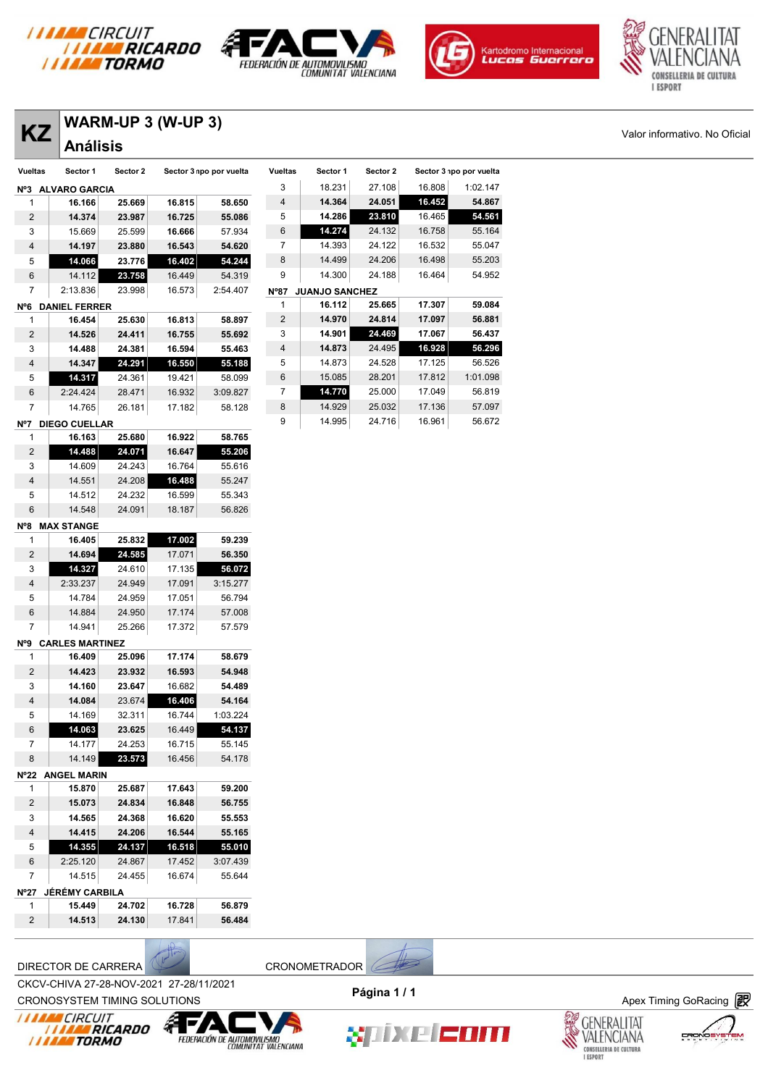







| <b>KZ</b>                      | <b>Análisis</b>     |                  |                  |                         |                |                     |          |        |                         | Valor informativo. No Oficial |
|--------------------------------|---------------------|------------------|------------------|-------------------------|----------------|---------------------|----------|--------|-------------------------|-------------------------------|
| <b>Vueltas</b>                 | Sector 1            | Sector 2         |                  | Sector 3 npo por vuelta | Vueltas        | Sector 1            | Sector 2 |        | Sector 3 npo por vuelta |                               |
|                                | Nº3 ALVARO GARCIA   |                  |                  |                         | 3              | 18.231              | 27.108   | 16.808 | 1:02.147                |                               |
| $\mathbf{1}$                   | 16.166              | 25.669           | 16.815           | 58.650                  | 4              | 14.364              | 24.051   | 16.452 | 54.867                  |                               |
| $\overline{2}$                 | 14.374              | 23.987           | 16.725           | 55.086                  | 5              | 14.286              | 23.810   | 16.465 | 54.561                  |                               |
| 3                              | 15.669              | 25.599           | 16.666           | 57.934                  | 6              | 14.274              | 24.132   | 16.758 | 55.164                  |                               |
| $\overline{4}$                 | 14.197              | 23.880           | 16.543           | 54.620                  | $\overline{7}$ | 14.393              | 24.122   | 16.532 | 55.047                  |                               |
| 5                              | 14.066              | 23.776           | 16.402           | 54.244                  | 8              | 14.499              | 24.206   | 16.498 | 55.203                  |                               |
| 6                              | 14.112              | 23.758           | 16.449           | 54.319                  | 9              | 14.300              | 24.188   | 16.464 | 54.952                  |                               |
| $\overline{7}$                 | 2:13.836            | 23.998           | 16.573           | 2:54.407                |                | Nº87 JUANJO SANCHEZ |          |        |                         |                               |
|                                | Nº6 DANIEL FERRER   |                  |                  |                         | 1              | 16.112              | 25.665   | 17.307 | 59.084                  |                               |
| $\mathbf{1}$                   | 16.454              | 25.630           | 16.813           | 58.897                  | $\overline{2}$ | 14.970              | 24.814   | 17.097 | 56.881                  |                               |
| $\overline{2}$                 | 14.526              | 24.411           | 16.755           | 55.692                  | 3              | 14.901              | 24.469   | 17.067 | 56.437                  |                               |
| 3                              | 14.488              | 24.381           | 16.594           | 55.463                  | 4              | 14.873              | 24.495   | 16.928 | 56.296                  |                               |
| $\overline{4}$                 | 14.347              | 24.291           | 16.550           | 55.188                  | 5              | 14.873              | 24.528   | 17.125 | 56.526                  |                               |
| 5                              | 14.317              | 24.361           | 19.421           | 58.099                  | 6              | 15.085              | 28.201   | 17.812 | 1:01.098                |                               |
| 6                              | 2:24.424            | 28.471           | 16.932           | 3:09.827                | 7              | 14.770              | 25.000   | 17.049 | 56.819                  |                               |
| $\overline{7}$                 | 14.765              | 26.181           | 17.182           | 58.128                  | 8              | 14.929              | 25.032   | 17.136 | 57.097                  |                               |
|                                | Nº7 DIEGO CUELLAR   |                  |                  |                         | 9              | 14.995              | 24.716   | 16.961 | 56.672                  |                               |
| $\mathbf{1}$                   | 16.163              | 25.680           | 16.922           | 58.765                  |                |                     |          |        |                         |                               |
| $\overline{2}$                 | 14.488              | 24.071           | 16.647           | 55.206                  |                |                     |          |        |                         |                               |
| 3                              | 14.609              | 24.243           | 16.764           | 55.616                  |                |                     |          |        |                         |                               |
| $\overline{4}$                 | 14.551              | 24.208           | 16.488           | 55.247                  |                |                     |          |        |                         |                               |
| 5                              | 14.512              | 24.232           | 16.599           | 55.343                  |                |                     |          |        |                         |                               |
| 6                              | 14.548              | 24.091           | 18.187           | 56.826                  |                |                     |          |        |                         |                               |
|                                | Nº8 MAX STANGE      |                  |                  |                         |                |                     |          |        |                         |                               |
| $\mathbf{1}$                   | 16.405              | 25.832           | 17.002           | 59.239                  |                |                     |          |        |                         |                               |
| $\overline{2}$                 | 14.694              | 24.585           | 17.071           | 56.350                  |                |                     |          |        |                         |                               |
| 3                              | 14.327              | 24.610           | 17.135           | 56.072                  |                |                     |          |        |                         |                               |
| $\overline{4}$                 | 2:33.237            | 24.949           | 17.091           | 3:15.277                |                |                     |          |        |                         |                               |
| 5                              | 14.784              | 24.959           | 17.051           | 56.794                  |                |                     |          |        |                         |                               |
| 6                              | 14.884              | 24.950           | 17.174           | 57.008                  |                |                     |          |        |                         |                               |
| $\overline{7}$                 | 14.941              | 25.266           | 17.372           | 57.579                  |                |                     |          |        |                         |                               |
|                                | Nº9 CARLES MARTINEZ |                  |                  |                         |                |                     |          |        |                         |                               |
| 1                              | 16.409              | 25.096           | 17.174           | 58.679                  |                |                     |          |        |                         |                               |
| $\overline{2}$                 | 14.423              | 23.932           | 16.593           | 54.948                  |                |                     |          |        |                         |                               |
| 3                              | 14.160              | 23.647           | 16.682           | 54.489                  |                |                     |          |        |                         |                               |
| $\overline{4}$                 | 14.084              | 23.674           | 16.406           | 54.164                  |                |                     |          |        |                         |                               |
| 5                              | 14.169              | 32.311           | 16.744           | 1:03.224                |                |                     |          |        |                         |                               |
| 6                              | 14.063              | 23.625           | 16.449           | 54.137                  |                |                     |          |        |                         |                               |
| $\overline{7}$<br>8            | 14.177              | 24.253<br>23.573 | 16.715           | 55.145                  |                |                     |          |        |                         |                               |
|                                | 14.149              |                  | 16.456           | 54.178                  |                |                     |          |        |                         |                               |
|                                | Nº22 ANGEL MARIN    | 25.687           |                  | 59.200                  |                |                     |          |        |                         |                               |
| $\mathbf{1}$<br>$\overline{2}$ | 15.870<br>15.073    | 24.834           | 17.643<br>16.848 | 56.755                  |                |                     |          |        |                         |                               |
| 3                              | 14.565              | 24.368           | 16.620           | 55.553                  |                |                     |          |        |                         |                               |
| $\overline{4}$                 | 14.415              | 24.206           | 16.544           | 55.165                  |                |                     |          |        |                         |                               |
|                                |                     |                  |                  |                         |                |                     |          |        |                         |                               |

| $\cdot$       | .                     | .      |        | .        |
|---------------|-----------------------|--------|--------|----------|
| 6             | 2:25.120              | 24.867 | 17.452 | 3:07.439 |
| 7             | 14.515                | 24.455 | 16.674 | 55.644   |
| $N^{\circ}27$ | <b>JÉRÉMY CARBILA</b> |        |        |          |
|               | 15.449                | 24.702 | 16.728 | 56.879   |
| $\mathcal{P}$ | 14.513                | 24.130 | 17.841 | 56.484   |
|               |                       |        |        |          |

DIRECTOR DE CARRERA CRONOMETRADOR

CROV-CHIVA 27-20-NOV-2021 27-20711/2021<br>CRONOSYSTEM TIMING SOLUTIONS **Apex Timing GoRacing** CKCV-CHIVA 27-28-NOV-2021 27-28/11/2021









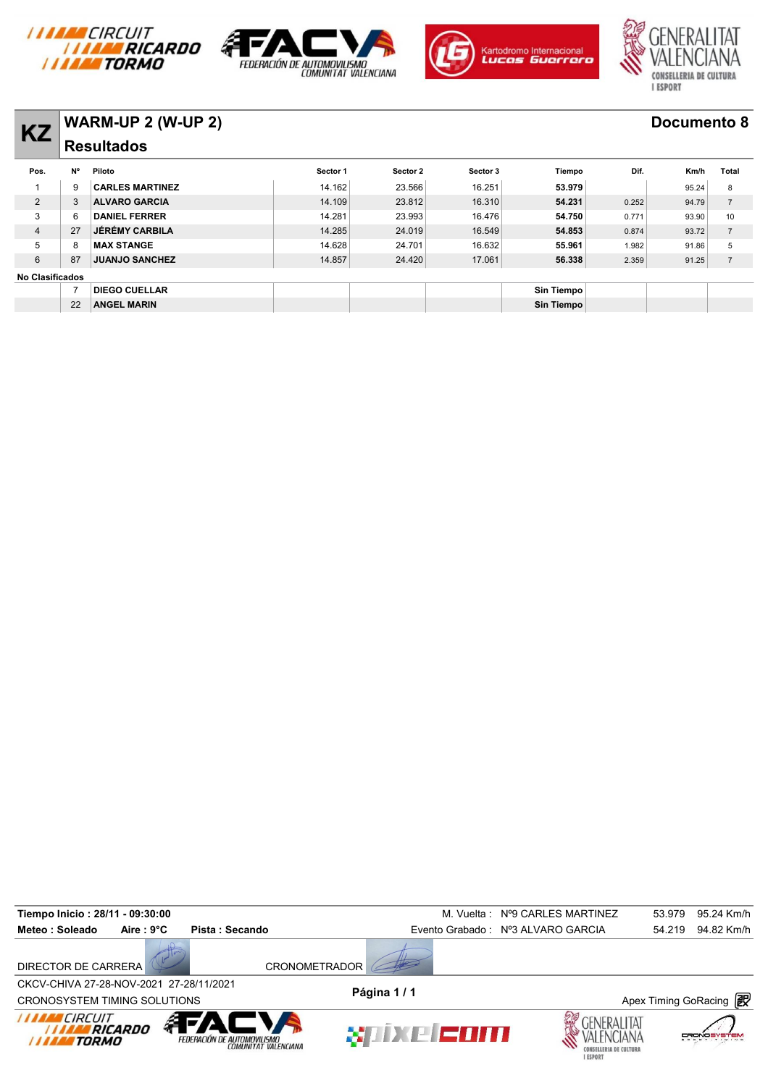







### **KZ WARM-UP 2 (W-UP 2) Documento 8 Resultados**

| N°                     | Piloto                 | Sector 1                                      | Sector 2 | Sector 3 | Tiempo            | Dif.  | Km/h  | Total              |
|------------------------|------------------------|-----------------------------------------------|----------|----------|-------------------|-------|-------|--------------------|
| 9                      | <b>CARLES MARTINEZ</b> | 14.162                                        | 23.566   | 16.251   | 53.979            |       | 95.24 | 8                  |
| 3                      | <b>ALVARO GARCIA</b>   | 14.109                                        | 23.812   | 16.310   | 54.231            | 0.252 | 94.79 | $\overline{7}$     |
| 6                      | <b>DANIEL FERRER</b>   | 14.281                                        | 23.993   | 16.476   | 54.750            | 0.771 | 93.90 | 10                 |
| 27                     | <b>JÉRÉMY CARBILA</b>  | 14.285                                        | 24.019   | 16.549   | 54.853            | 0.874 | 93.72 | $\overline{7}$     |
| 8                      | <b>MAX STANGE</b>      | 14.628                                        | 24.701   | 16.632   | 55.961            | 1.982 | 91.86 | 5                  |
| 87                     | <b>JUANJO SANCHEZ</b>  | 14.857                                        | 24.420   | 17.061   | 56.338            | 2.359 | 91.25 | $\overline{7}$     |
| <b>No Clasificados</b> |                        |                                               |          |          |                   |       |       |                    |
|                        | <b>DIEGO CUELLAR</b>   |                                               |          |          | <b>Sin Tiempo</b> |       |       |                    |
| 22                     | <b>ANGEL MARIN</b>     |                                               |          |          | <b>Sin Tiempo</b> |       |       |                    |
|                        |                        | $V$ ARIVI-UF 4 (VV-UF 4)<br><b>Resultados</b> |          |          |                   |       |       | <b>DOCUMENTO 0</b> |

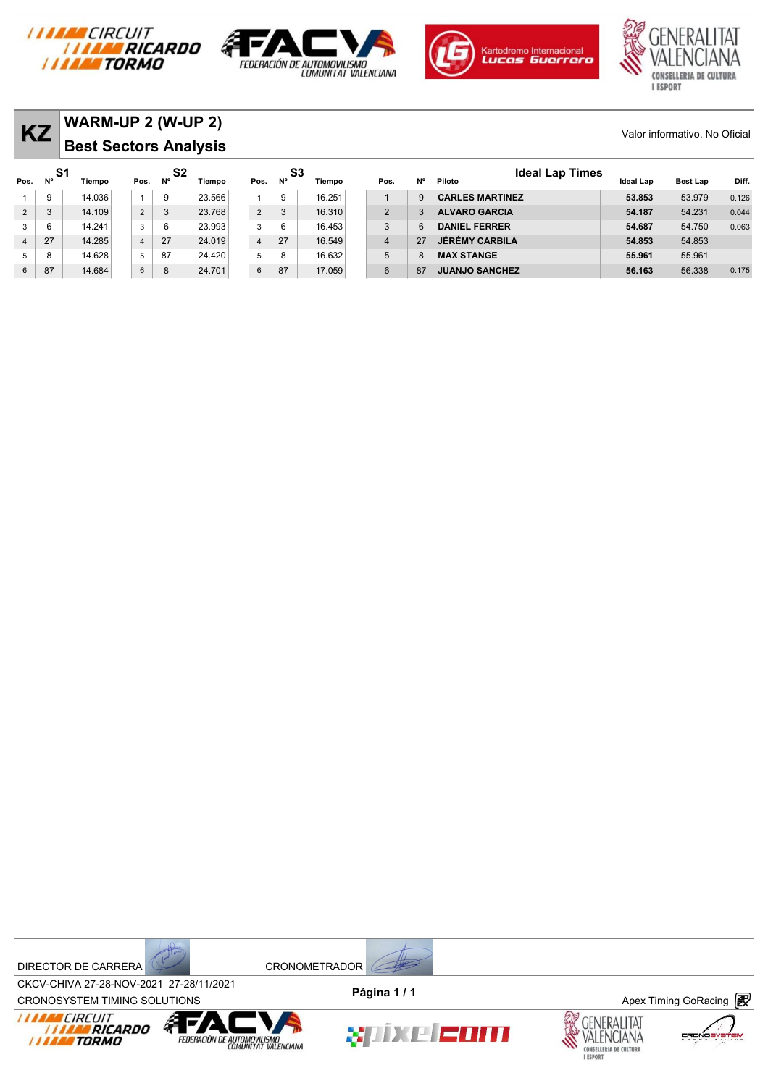







| <b>KZ</b>       |           | <b>WARM-UP 2 (W-UP 2)</b><br><b>Best Sectors Analysis</b> |                |    |              |                |    |              |                |              |                                  |           | Valor informativo. No Oficial |       |
|-----------------|-----------|-----------------------------------------------------------|----------------|----|--------------|----------------|----|--------------|----------------|--------------|----------------------------------|-----------|-------------------------------|-------|
| Pos.            | -S1<br>N° | Tiempo                                                    | Pos.           | N° | S2<br>Tiempo | Pos.           | N° | S3<br>Tiempo | Pos.           | <b>N°</b>    | <b>Ideal Lap Times</b><br>Piloto | Ideal Lap | <b>Best Lap</b>               | Diff. |
|                 | 9         | 14.036                                                    | $\mathbf{1}$   | 9  | 23.566       |                | 9  | 16.251       |                | $\mathbf{Q}$ | <b>CARLES MARTINEZ</b>           | 53,853    | 53.979                        | 0.126 |
| $\overline{2}$  | 3         | 14.109                                                    | $\overline{2}$ | 3  | 23.768       | 2              | 3  | 16.310       | 2              |              | <b>ALVARO GARCIA</b>             | 54.187    | 54.231                        | 0.044 |
| 3               | 6         | 14.241                                                    | 3              | 6  | 23.993       | 3              | 6  | 16.453       | 3              | ĥ            | <b>DANIEL FERRER</b>             | 54.687    | 54.750                        | 0.063 |
| $\overline{4}$  | 27        | 14.285                                                    | $\overline{4}$ | 27 | 24.019       | $\overline{4}$ | 27 | 16.549       | $\overline{4}$ | 27           | <b>JÉRÉMY CARBILA</b>            | 54.853    | 54.853                        |       |
| 5               | 8         | 14.628                                                    | 5              | 87 | 24.420       | 5              | 8  | 16.632       | 5              |              | <b>MAX STANGE</b>                | 55,961    | 55.961                        |       |
| $6\overline{6}$ | 87        | 14.684                                                    | $\,6\,$        | 8  | 24.701       | 6              | 87 | 17.059       | 6              | 87           | <b>JUANJO SANCHEZ</b>            | 56.163    | 56.338                        | 0.175 |

DIRECTOR DE CARRERA CRONOMETRADOR



CROV-CHIVA 27-20-NOV-2021 27-20711/2021<br>CRONOSYSTEM TIMING SOLUTIONS **Apex Timing GoRacing** CKCV-CHIVA 27-28-NOV-2021 27-28/11/2021 **Página 1 / 1**









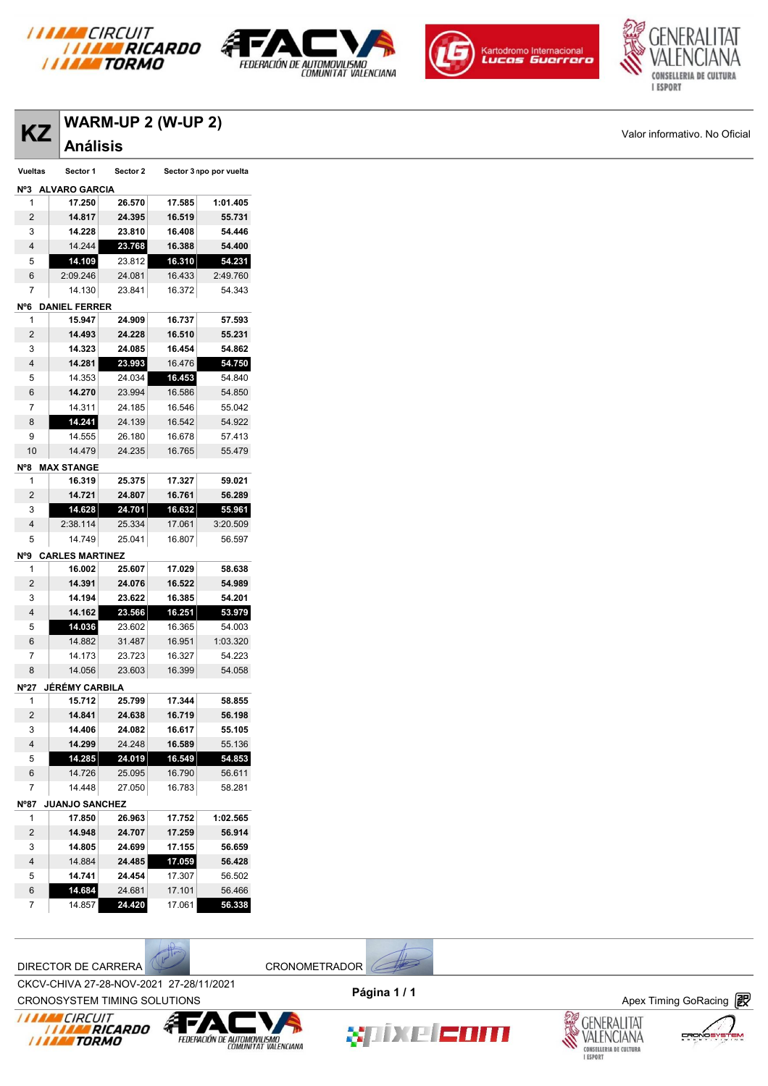







| $\sqrt{\textsf{WARM-UP 2}(\textsf{W-UP 2})}$ |                               |
|----------------------------------------------|-------------------------------|
| $\overline{Z}$ $\overline{X}$ Análisis       | Valor informativo. No Oficial |

|                |                      | $V$ ARIVI-UF 4 (VV-UF 4)<br><b>Análisis</b> |        |                         |  |  |  |  |  |  |  |
|----------------|----------------------|---------------------------------------------|--------|-------------------------|--|--|--|--|--|--|--|
|                |                      |                                             |        |                         |  |  |  |  |  |  |  |
| <b>Vueltas</b> | Sector 1             | Sector 2                                    |        | Sector 3 npo por vuelta |  |  |  |  |  |  |  |
| N°3            | <b>ALVARO GARCIA</b> |                                             |        |                         |  |  |  |  |  |  |  |
| 1              | 17.250               | 26.570                                      | 17.585 | 1:01.405                |  |  |  |  |  |  |  |
| 2              | 14.817               | 24.395                                      | 16.519 | 55.731                  |  |  |  |  |  |  |  |
| $\sim$         |                      |                                             | 40.400 | -----                   |  |  |  |  |  |  |  |

| ے              | 14.0 I I               | 44.999 | 10.913 | 33.IJI   |
|----------------|------------------------|--------|--------|----------|
| 3              | 14.228                 | 23.810 | 16.408 | 54.446   |
| 4              | 14.244                 | 23.768 | 16.388 | 54.400   |
| 5              | 14.109                 | 23.812 | 16.310 | 54.231   |
| 6              | 2:09.246               | 24.081 | 16.433 | 2:49.760 |
| 7              | 14.130                 | 23.841 | 16.372 | 54.343   |
| N°6            | <b>DANIEL FERRER</b>   |        |        |          |
| 1              | 15.947                 | 24.909 | 16.737 | 57.593   |
| 2              | 14.493                 | 24.228 | 16.510 | 55.231   |
| 3              | 14.323                 | 24.085 | 16.454 | 54.862   |
| 4              | 14.281                 | 23.993 | 16.476 | 54.750   |
| 5              | 14.353                 | 24.034 | 16.453 | 54.840   |
| 6              | 14.270                 | 23.994 | 16.586 | 54.850   |
| 7              | 14.311                 | 24.185 | 16.546 | 55.042   |
| 8              | 14.241                 | 24.139 | 16.542 | 54.922   |
| 9              | 14.555                 | 26.180 | 16.678 | 57.413   |
| 10             | 14.479                 | 24.235 | 16.765 | 55.479   |
| N°8            | <b>MAX STANGE</b>      |        |        |          |
| 1              | 16.319                 | 25.375 | 17.327 | 59.021   |
| 2              | 14.721                 | 24.807 | 16.761 | 56.289   |
| 3              | 14.628                 | 24.701 | 16.632 | 55.961   |
| 4              | 2:38.114               | 25.334 | 17.061 | 3:20.509 |
| 5              | 14.749                 | 25.041 | 16.807 | 56.597   |
| N°9            | <b>CARLES MARTINEZ</b> |        |        |          |
| 1              | 16.002                 | 25.607 | 17.029 | 58.638   |
| $\overline{2}$ | 14.391                 | 24.076 | 16.522 | 54.989   |
| 3              | 14.194                 | 23.622 | 16.385 | 54.201   |
| 4              | 14.162                 | 23.566 | 16.251 | 53.979   |
| 5              | 14.036                 | 23.602 | 16.365 | 54.003   |
| 6              | 14.882                 | 31.487 | 16.951 | 1:03.320 |
| 7              | 14.173                 | 23.723 | 16.327 | 54.223   |
| 8              | 14.056                 | 23.603 | 16.399 | 54.058   |
| $N^o27$        | JÉRÉMY CARBILA         |        |        |          |
| 1              | 15.712                 | 25.799 | 17.344 | 58.855   |
| 2              | 14.841                 | 24.638 | 16.719 | 56.198   |
| 3              | 14.406                 | 24.082 | 16.617 | 55.105   |
| 4              | 14.299                 | 24.248 | 16.589 | 55.136   |
| 5              | 14.285                 | 24.019 | 16.549 | 54.853   |
| 6              | 14.726                 | 25.095 | 16.790 | 56.611   |
| 7              | 14.448                 | 27.050 | 16.783 | 58.281   |
| Nº87           | <b>JUANJO SANCHEZ</b>  |        |        |          |
| 1              | 17.850                 | 26.963 | 17.752 | 1:02.565 |
| 2              | 14.948                 | 24.707 | 17.259 | 56.914   |
| 3              | 14.805                 | 24.699 | 17.155 | 56.659   |
| 4              | 14.884                 | 24.485 | 17.059 | 56.428   |
| 5              | 14.741                 | 24.454 | 17.307 | 56.502   |

DIRECTOR DE CARRERA CRONOMETRADOR



 **14.684** 24.681 17.101 56.466 14.857 **24.420** 17.061 **56.338**



CROV-CHIVA 27-20-NOV-2021 27-20711/2021<br>CRONOSYSTEM TIMING SOLUTIONS **Apex Timing GoRacing** 











≡M

FRON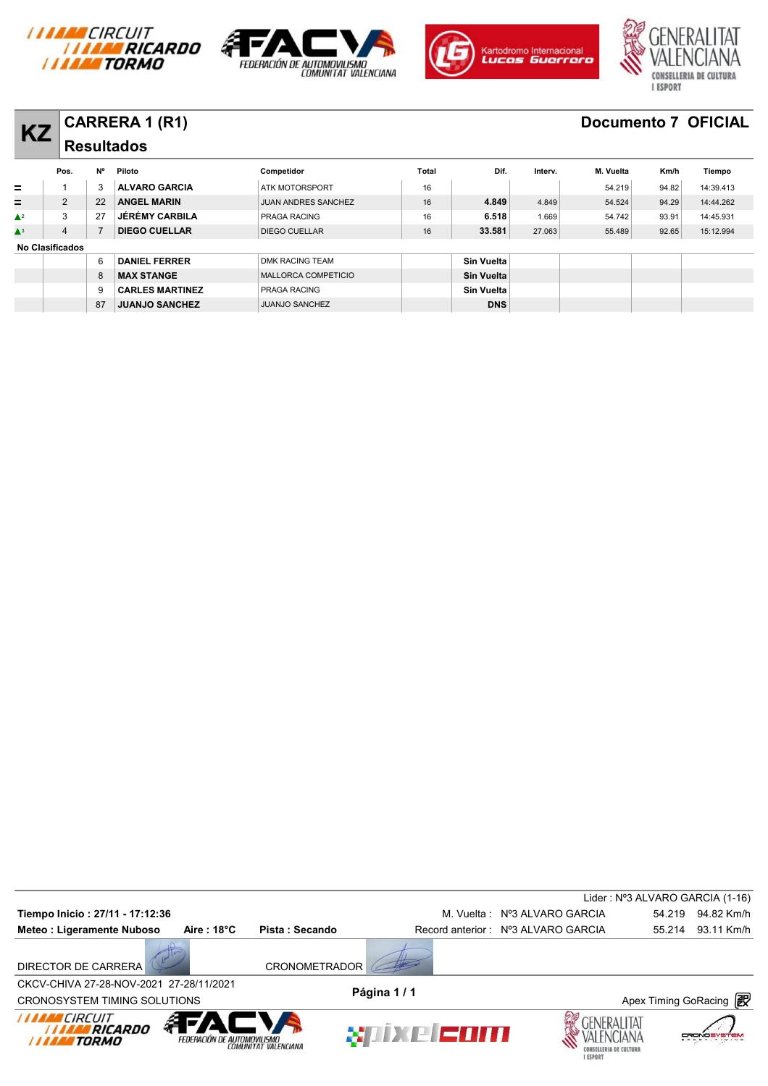







# **KZ CARRERA 1 (R1) Documento 7 OFICIAL**

| KZ            |                        |    | VARRERA I (RI)         |                            |       |                   |         |           |       | <b>DOCUMENTO / OFIVIAL</b> |
|---------------|------------------------|----|------------------------|----------------------------|-------|-------------------|---------|-----------|-------|----------------------------|
|               |                        |    | <b>Resultados</b>      |                            |       |                   |         |           |       |                            |
|               | Pos.                   | N° | Piloto                 | Competidor                 | Total | Dif.              | Interv. | M. Vuelta | Km/h  | Tiempo                     |
| $=$           |                        | 3  | <b>ALVARO GARCIA</b>   | <b>ATK MOTORSPORT</b>      | 16    |                   |         | 54.219    | 94.82 | 14:39.413                  |
| =             | 2                      | 22 | <b>ANGEL MARIN</b>     | <b>JUAN ANDRES SANCHEZ</b> | 16    | 4.849             | 4.849   | 54.524    | 94.29 | 14:44.262                  |
| $\triangle^2$ | 3                      | 27 | <b>JÉRÉMY CARBILA</b>  | PRAGA RACING               | 16    | 6.518             | 1.669   | 54.742    | 93.91 | 14:45.931                  |
| $\triangle^3$ | $\overline{4}$         |    | <b>DIEGO CUELLAR</b>   | <b>DIEGO CUELLAR</b>       | 16    | 33.581            | 27.063  | 55.489    | 92.65 | 15:12.994                  |
|               | <b>No Clasificados</b> |    |                        |                            |       |                   |         |           |       |                            |
|               |                        | 6  | <b>DANIEL FERRER</b>   | <b>DMK RACING TEAM</b>     |       | Sin Vuelta        |         |           |       |                            |
|               |                        | 8  | <b>MAX STANGE</b>      | MALLORCA COMPETICIO        |       | <b>Sin Vuelta</b> |         |           |       |                            |
|               |                        | 9  | <b>CARLES MARTINEZ</b> | PRAGA RACING               |       | <b>Sin Vuelta</b> |         |           |       |                            |
|               |                        | 87 | <b>JUANJO SANCHEZ</b>  | <b>JUANJO SANCHEZ</b>      |       | <b>DNS</b>        |         |           |       |                            |

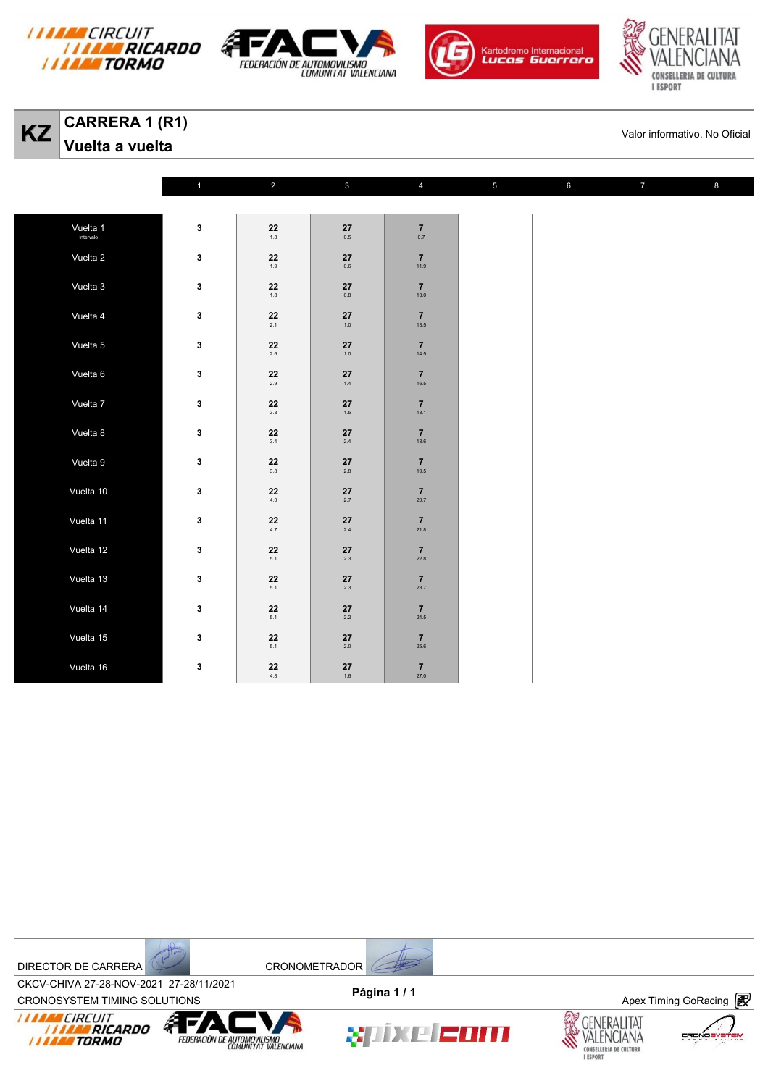







**KZ** CARRERA 1 (R1)<br>
Valor informativo. No Oficial<br>
Valor informativo. No Oficial **Vuelta a vuelta** 

|           | $\mathbf{1}$     | $\overline{2}$                          | $\mathbf{3}$                                              | $\overline{4}$                                             | $\sqrt{5}$ | $\bf 6$ | $\overline{7}$ | $\bf8$ |
|-----------|------------------|-----------------------------------------|-----------------------------------------------------------|------------------------------------------------------------|------------|---------|----------------|--------|
|           |                  |                                         |                                                           |                                                            |            |         |                |        |
| Vuelta 1  | $\mathbf 3$      | ${\bf 22}$<br>1.8                       | $\bf 27$<br>0.5                                           | $\mathbf{7}_{_{0.7}}$                                      |            |         |                |        |
| Vuelta 2  | $\mathbf 3$      | $\bf 22$<br>1.9                         | ${\bf 27}$<br>$0.6\,$                                     | $\overline{7}$<br>11.9                                     |            |         |                |        |
| Vuelta 3  | $\mathbf 3$      | $\mathbf{22}_{_{\color{red}1.8}}$       | $\mathbf{27}_{_{\mathbf{0.8}}}$                           | $\mathbf{7}_{13.0}$                                        |            |         |                |        |
| Vuelta 4  | $\mathbf 3$      | $\bf 22$<br>$2.1\,$                     | $\bf 27$<br>$1.0$                                         | $\overline{7}$<br>13.5                                     |            |         |                |        |
| Vuelta 5  | $\mathbf 3$      | $\underset{2.6}{\textbf{22}}$           | $\mathbf{27}_{_{\color{red}1.0}}$                         | $\overline{7}$<br>14.5                                     |            |         |                |        |
| Vuelta 6  | $\mathbf 3$      | $\mathbf{22} \atop \phantom{000}_{2.9}$ | $\begin{array}{c} \textbf{27}\\ \textbf{1.4} \end{array}$ | $\begin{array}{c} \mathbf{7} \\ \mathbf{16.5} \end{array}$ |            |         |                |        |
| Vuelta 7  | $\mathbf 3$      | $\bf 22$<br>$3.3\,$                     | $\mathbf{27}_{\scriptscriptstyle{1.5}}$                   | $\overline{\mathbf{7}}$<br>18.1                            |            |         |                |        |
| Vuelta 8  | $\mathbf 3$      | ${\bf 22}$<br>3.4                       | $\begin{array}{c} \textbf{27}\\ \textbf{2.4} \end{array}$ | $\overline{7}$<br>18.6                                     |            |         |                |        |
| Vuelta 9  | $\mathbf 3$      | $\mathbf{22}_{_{3.8}}$                  | $\mathbf{27}_{\scriptscriptstyle{2.8}}$                   | $\overline{7}$<br>19.5                                     |            |         |                |        |
| Vuelta 10 | $\mathbf 3$      | $\mathbf{22}_{\scriptscriptstyle{4.0}}$ | $\mathbf{27}_{_{\mathbf{2.7}}}$                           | $\overline{\mathbf{7}}$<br>20.7                            |            |         |                |        |
| Vuelta 11 | $\boldsymbol{3}$ | $\mathbf{22}_{\scriptscriptstyle{4.7}}$ | $\mathbf{27}_{\scriptscriptstyle{2.4}}$                   | $\frac{7}{21.8}$                                           |            |         |                |        |
| Vuelta 12 | $\mathbf 3$      | $\mathbf{22}_{\scriptscriptstyle{5.1}}$ | $\mathbf{27}_{_{\mathbf{2.3}}}$                           | $\overline{7}$<br>22.8                                     |            |         |                |        |
| Vuelta 13 | $\mathbf 3$      | $22$<br>$5.1$                           | $\mathbf{27}_{_{\mathbf{2.3}}}$                           | $\frac{7}{23.7}$                                           |            |         |                |        |
| Vuelta 14 | $\mathbf 3$      | ${\bf 22}$<br>5.1                       | ${\bf 27}$<br>$2.2\,$                                     | $\overline{\mathbf{7}}$<br>24.5                            |            |         |                |        |
| Vuelta 15 | $\mathbf 3$      | ${\bf 22}$<br>5.1                       | $\mathbf{27}_{_{\mathbf{2.0}}}$                           | $\overline{7}$<br>25.6                                     |            |         |                |        |
| Vuelta 16 | $\mathbf 3$      | $\mathbf{22}_{\scriptscriptstyle{4.8}}$ | $\mathbf{27}_{\scriptscriptstyle{1.6}}$                   | $\overline{7}$<br>27.0                                     |            |         |                |        |



CROV-CHIVA 27-20-NOV-2021 27-20711/2021<br>CRONOSYSTEM TIMING SOLUTIONS **Apex Timing GoRacing** CKCV-CHIVA 27-28-NOV-2021 27-28/11/2021 **Página 1 / 1**





xiixe com





FROM

≡M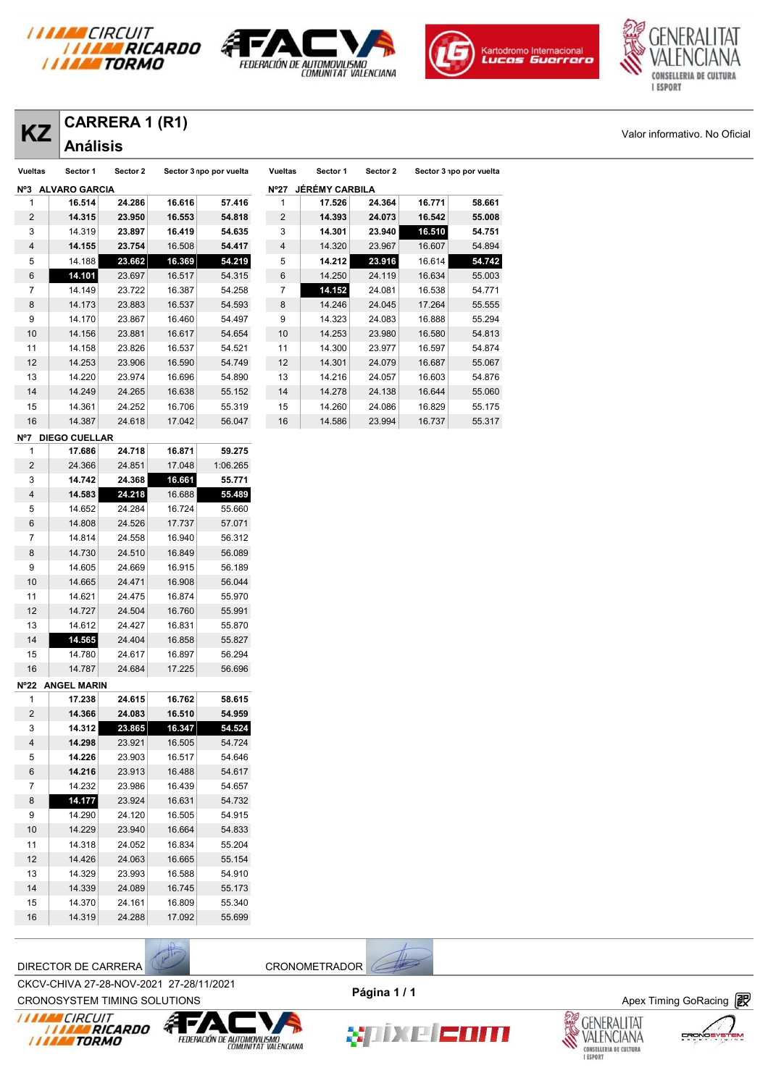







**KZ** CARRERA 1 (R1)<br> **KZ** Análisis

| ΚZ             |                   | VARRERA I (RI) |                         |        |                |                       |          |                         |        |
|----------------|-------------------|----------------|-------------------------|--------|----------------|-----------------------|----------|-------------------------|--------|
|                | <b>Análisis</b>   |                |                         |        |                |                       |          |                         |        |
| <b>Vueltas</b> | Sector 1          | Sector 2       | Sector 3 npo por vuelta |        | <b>Vueltas</b> | Sector 1              | Sector 2 | Sector 3 npo por vuelta |        |
|                | Nº3 ALVARO GARCIA |                |                         |        | $N^{\circ}27$  | <b>JÉRÉMY CARBILA</b> |          |                         |        |
| 1              | 16.514            | 24.286         | 16.616                  | 57.416 | 1              | 17.526                | 24.364   | 16.771                  | 58.661 |
| $\overline{2}$ | 14.315            | 23.950         | 16.553                  | 54.818 | $\overline{2}$ | 14.393                | 24.073   | 16.542                  | 55.008 |
| 3              | 14.319            | 23.897         | 16.419                  | 54.635 | 3              | 14.301                | 23.940   | 16.510                  | 54.751 |
| $\overline{4}$ | 14.155            | 23.754         | 16.508                  | 54.417 | $\overline{4}$ | 14.320                | 23.967   | 16.607                  | 54.894 |
| 5              | 14.188            | 23.662         | 16.369                  | 54.219 | 5              | 14.212                | 23.916   | 16.614                  | 54.742 |
| 6              | 14.101            | 23.697         | 16.517                  | 54.315 | 6              | 14.250                | 24.119   | 16.634                  | 55.003 |
| $\overline{7}$ | 14.149            | 23.722         | 16.387                  | 54.258 | 7              | 14.152                | 24.081   | 16.538                  | 54.771 |
| 8              | 14.173            | 23.883         | 16.537                  | 54.593 | 8              | 14.246                | 24.045   | 17.264                  | 55.555 |
| 9              | 14.170            | 23.867         | 16.460                  | 54.497 | 9              | 14.323                | 24.083   | 16.888                  | 55.294 |
| 10             | 14.156            | 23.881         | 16.617                  | 54.654 | 10             | 14.253                | 23.980   | 16.580                  | 54.813 |
| 11             | 14.158            | 23.826         | 16.537                  | 54.521 | 11             | 14.300                | 23.977   | 16.597                  | 54.874 |
| 12             | 14.253            | 23.906         | 16.590                  | 54.749 | 12             | 14.301                | 24.079   | 16.687                  | 55.067 |
| 13             | 14.220            | 23.974         | 16.696                  | 54.890 | 13             | 14.216                | 24.057   | 16.603                  | 54.876 |
| 14             | 14.249            | 24.265         | 16.638                  | 55.152 | 14             | 14.278                | 24.138   | 16.644                  | 55.060 |
| 15             | 14.361            | 24.252         | 16.706                  | 55.319 | 15             | 14.260                | 24.086   | 16.829                  | 55.175 |
| 16             | 14.387            | 24.618         | 17.042                  | 56.047 | 16             | 14.586                | 23.994   | 16.737                  | 55.317 |
| N07            | DIEGO CUELLAR     |                |                         |        |                |                       |          |                         |        |

|                         | DIEGO COELLAR      |        |        |          |
|-------------------------|--------------------|--------|--------|----------|
| 1                       | 17.686             | 24.718 | 16.871 | 59.275   |
| $\overline{c}$          | 24.366             | 24.851 | 17.048 | 1:06.265 |
| 3                       | 14.742             | 24.368 | 16.661 | 55.771   |
| 4                       | 14.583             | 24.218 | 16.688 | 55.489   |
| 5                       | 14.652             | 24.284 | 16.724 | 55.660   |
| 6                       | 14.808             | 24.526 | 17.737 | 57.071   |
| 7                       | 14.814             | 24.558 | 16.940 | 56.312   |
| 8                       | 14.730             | 24.510 | 16.849 | 56.089   |
| 9                       | 14.605             | 24.669 | 16.915 | 56.189   |
| 10                      | 14.665             | 24.471 | 16.908 | 56.044   |
| 11                      | 14.621             | 24.475 | 16.874 | 55.970   |
| 12                      | 14.727             | 24.504 | 16.760 | 55.991   |
| 13                      | 14.612             | 24.427 | 16.831 | 55.870   |
| 14                      | 14.565             | 24.404 | 16.858 | 55.827   |
| 15                      | 14.780             | 24.617 | 16.897 | 56.294   |
| 16                      | 14.787             | 24.684 | 17.225 | 56.696   |
|                         |                    |        |        |          |
| $N^{\circ}22$           | <b>ANGEL MARIN</b> |        |        |          |
| 1                       | 17.238             | 24.615 | 16.762 | 58.615   |
| $\overline{2}$          | 14.366             | 24.083 | 16.510 | 54.959   |
| 3                       | 14.312             | 23.865 | 16.347 | 54.524   |
| $\overline{\mathbf{4}}$ | 14.298             | 23.921 | 16.505 | 54.724   |
| 5                       | 14.226             | 23.903 | 16.517 | 54.646   |
| 6                       | 14.216             | 23.913 | 16.488 | 54.617   |
| 7                       | 14.232             | 23.986 | 16.439 | 54.657   |
| 8                       | 14.177             | 23.924 | 16.631 | 54.732   |
| 9                       | 14.290             | 24.120 | 16.505 | 54.915   |
| 10                      | 14.229             | 23.940 | 16.664 | 54.833   |
| 11                      | 14.318             | 24.052 | 16.834 | 55.204   |
| 12                      | 14.426             | 24.063 | 16.665 | 55.154   |
| 13                      | 14.329             | 23.993 | 16.588 | 54.910   |
| 14                      | 14.339             | 24.089 | 16.745 | 55.173   |
| 15                      | 14.370             | 24.161 | 16.809 | 55.340   |

DIRECTOR DE CARRERA CHE CONOMETRADOR

*I I I I I I CIRCUIT<br>I I I I I I RICARDO*<br>I I I I I I TORMO

CROV-CHIVA 27-20-NOV-2021 27-20711/2021<br>CRONOSYSTEM TIMING SOLUTIONS **Apex Timing GoRacing** CKCV-CHIVA 27-28-NOV-2021 27-28/11/2021 **Página 1 / 1**

**《下》** 

FEDERACIÓN DE AUTOMOVILISMO







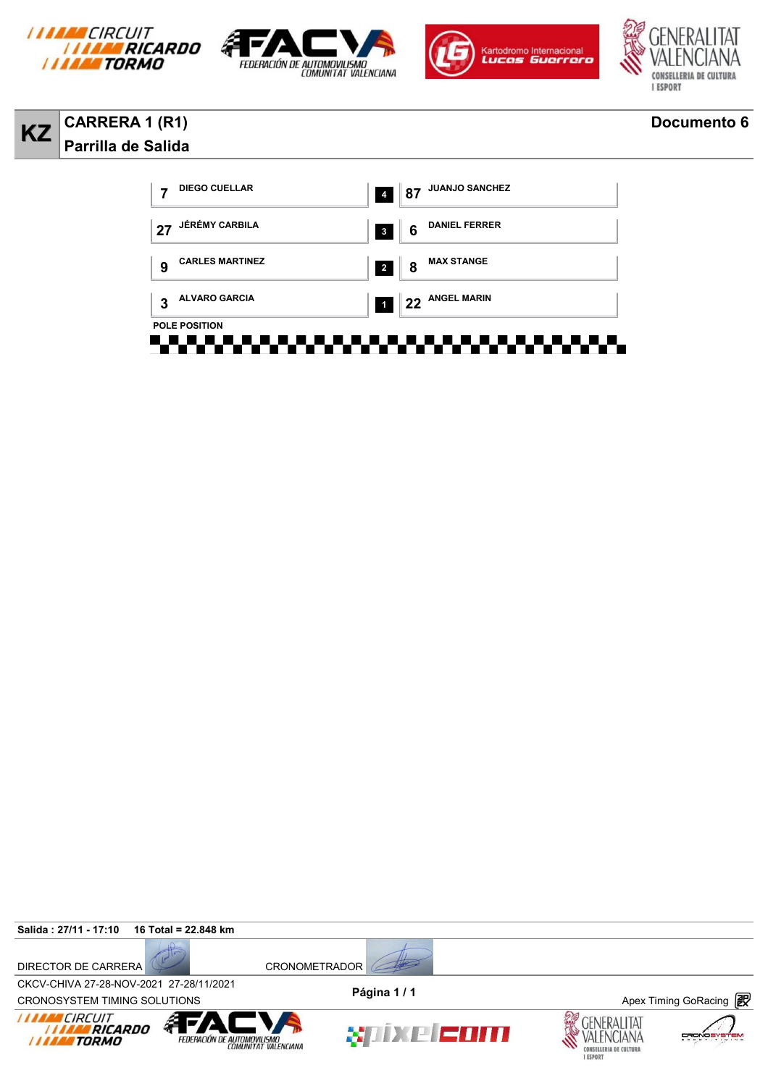







### **KZ CARRERA 1 (R1) Documento 6 Parrilla de Salida**



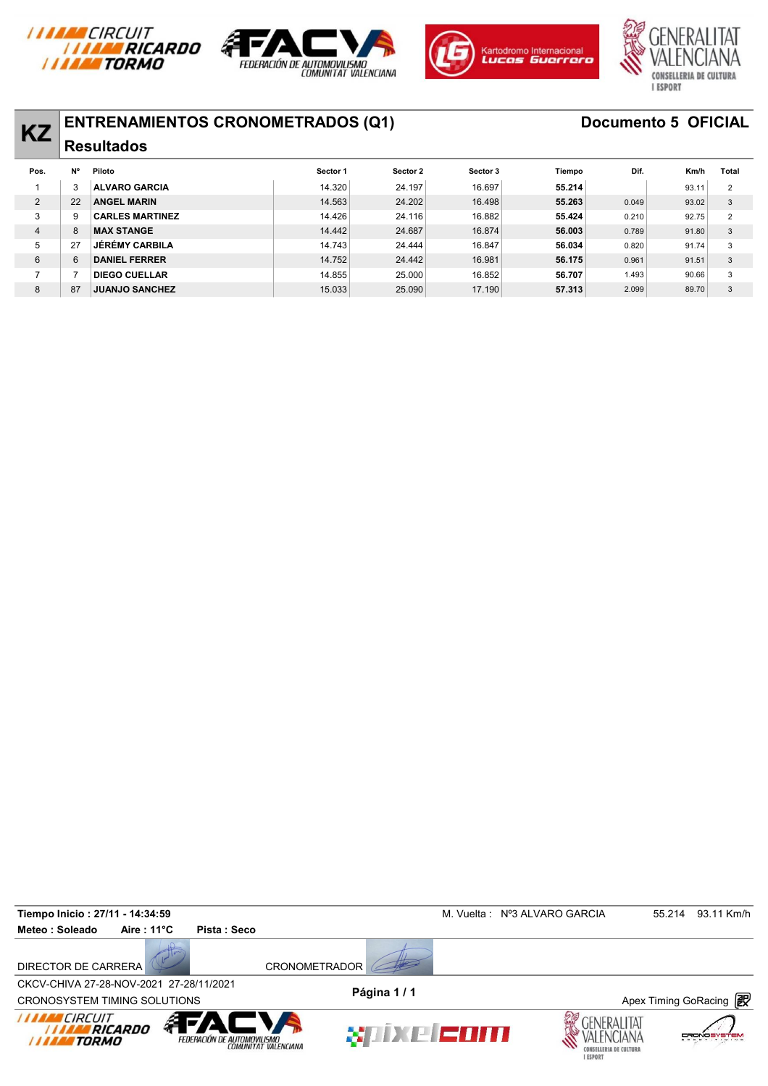







# **KZ ENTRENAMIENTOS CRONOMETRADOS (Q1)** Documento 5 OFICIAL

| <b>KZ</b>      |           | EN I RENAMIEN I US URUNUME I RADUS (QT) |          |          |          |        |       | <b>DOCUMENTO 3 OFIVIAL</b> |                |
|----------------|-----------|-----------------------------------------|----------|----------|----------|--------|-------|----------------------------|----------------|
|                |           | <b>Resultados</b>                       |          |          |          |        |       |                            |                |
| Pos.           | <b>N°</b> | Piloto                                  | Sector 1 | Sector 2 | Sector 3 | Tiempo | Dif.  | Km/h                       | Total          |
|                | 3         | <b>ALVARO GARCIA</b>                    | 14.320   | 24.197   | 16.697   | 55.214 |       | 93.11                      | 2              |
| $\overline{2}$ | 22        | <b>ANGEL MARIN</b>                      | 14.563   | 24.202   | 16.498   | 55.263 | 0.049 | 93.02                      | 3              |
| 3              | 9         | <b>CARLES MARTINEZ</b>                  | 14.426   | 24.116   | 16.882   | 55.424 | 0.210 | 92.75                      | $\overline{2}$ |
| 4              | 8         | <b>MAX STANGE</b>                       | 14.442   | 24.687   | 16.874   | 56,003 | 0.789 | 91.80                      | 3              |
| 5              | 27        | <b>JÉRÉMY CARBILA</b>                   | 14.743   | 24.444   | 16.847   | 56.034 | 0.820 | 91.74                      | 3              |
| 6              | 6         | <b>DANIEL FERRER</b>                    | 14.752   | 24.442   | 16.981   | 56.175 | 0.961 | 91.51                      | 3              |
|                |           | <b>DIEGO CUELLAR</b>                    | 14.855   | 25,000   | 16.852   | 56.707 | 1.493 | 90.66                      | 3              |
| 8              | 87        | <b>JUANJO SANCHEZ</b>                   | 15.033   | 25.090   | 17.190   | 57.313 | 2.099 | 89.70                      | 3              |
|                |           |                                         |          |          |          |        |       |                            |                |

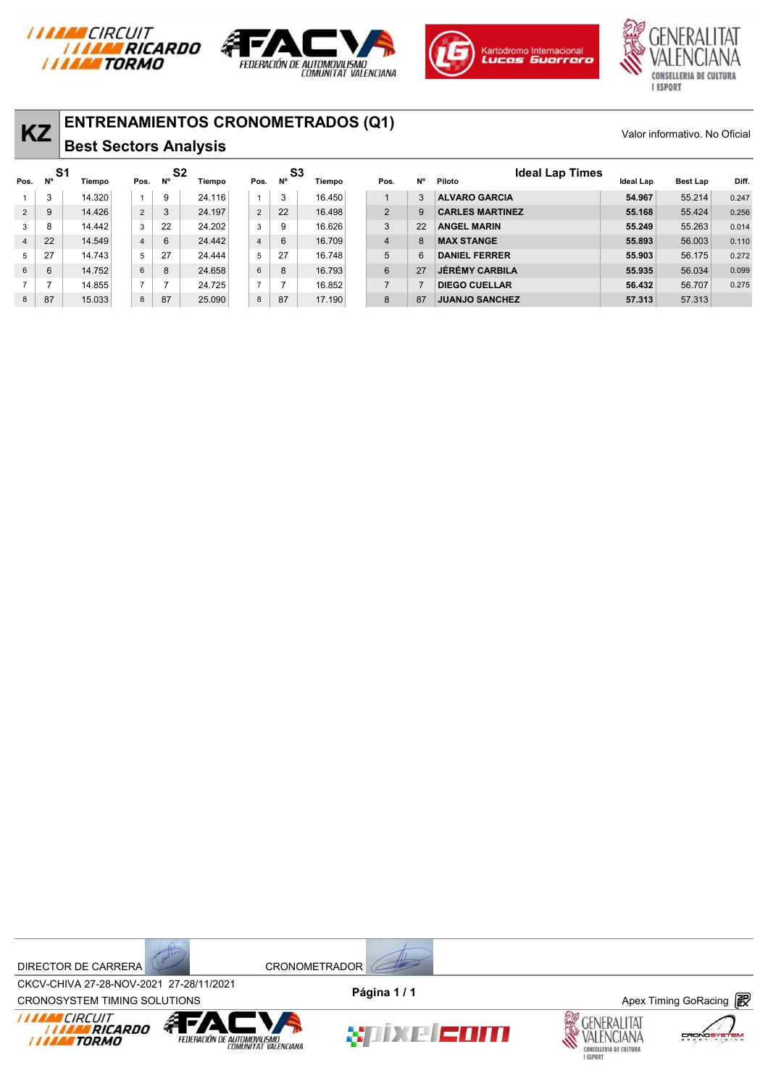







| <b>KZ</b>      |                  | <b>ENTRENAMIENTOS CRONOMETRADOS (Q1)</b><br><b>Best Sectors Analysis</b> |                |                      |        |                |                 |        |                |           |                                  |                  | Valor informativo. No Oficial |       |
|----------------|------------------|--------------------------------------------------------------------------|----------------|----------------------|--------|----------------|-----------------|--------|----------------|-----------|----------------------------------|------------------|-------------------------------|-------|
| Pos.           | -S1<br><b>N°</b> | Tiempo                                                                   | Pos.           | S <sub>2</sub><br>N° | Tiempo | Pos.           | S3<br><b>N°</b> | Tiempo | Pos.           | <b>N°</b> | <b>Ideal Lap Times</b><br>Piloto | <b>Ideal Lap</b> | Best Lap                      | Diff. |
|                | 3                | 14.320                                                                   | $\mathbf{1}$   | 9                    | 24.116 | $\overline{1}$ | 3               | 16.450 |                | 3         | <b>ALVARO GARCIA</b>             | 54.967           | 55.214                        | 0.247 |
| $\overline{2}$ | 9                | 14.426                                                                   | $\overline{2}$ | 3                    | 24.197 | $\overline{2}$ | 22              | 16.498 | 2              | 9         | <b>CARLES MARTINEZ</b>           | 55.168           | 55.424                        | 0.256 |
| 3              | 8                | 14.442                                                                   | 3              | 22                   | 24.202 | 3              | 9               | 16.626 | 3              | 22        | <b>ANGEL MARIN</b>               | 55.249           | 55.263                        | 0.014 |
| $\overline{4}$ | 22               | 14.549                                                                   | $\overline{4}$ | 6                    | 24.442 | $\overline{4}$ | 6               | 16.709 | $\overline{4}$ | 8         | <b>MAX STANGE</b>                | 55,893           | 56.003                        | 0.110 |
| 5              | 27               | 14.743                                                                   | 5              | 27                   | 24.444 | 5              | 27              | 16.748 | 5              | 6         | <b>DANIEL FERRER</b>             | 55.903           | 56.175                        | 0.272 |
| 6              | 6                | 14.752                                                                   | 6              | 8                    | 24.658 | 6              | 8               | 16.793 | 6              | 27        | <b>JÉRÉMY CARBILA</b>            | 55.935           | 56.034                        | 0.099 |
|                | 7                | 14.855                                                                   | $\overline{7}$ |                      | 24.725 | $\overline{7}$ |                 | 16.852 | $\overline{7}$ |           | <b>DIEGO CUELLAR</b>             | 56.432           | 56.707                        | 0.275 |
| 8              | 87               | 15.033                                                                   | 8              | 87                   | 25.090 | 8              | 87              | 17.190 | 8              | 87        | <b>JUANJO SANCHEZ</b>            | 57.313           | 57.313                        |       |

DIRECTOR DE CARRERA CRONOMETRADOR



CROV-CHIVA 27-20-NOV-2021 27-20711/2021<br>CRONOSYSTEM TIMING SOLUTIONS **Apex Timing GoRacing** CKCV-CHIVA 27-28-NOV-2021 27-28/11/2021 **Página 1 / 1**









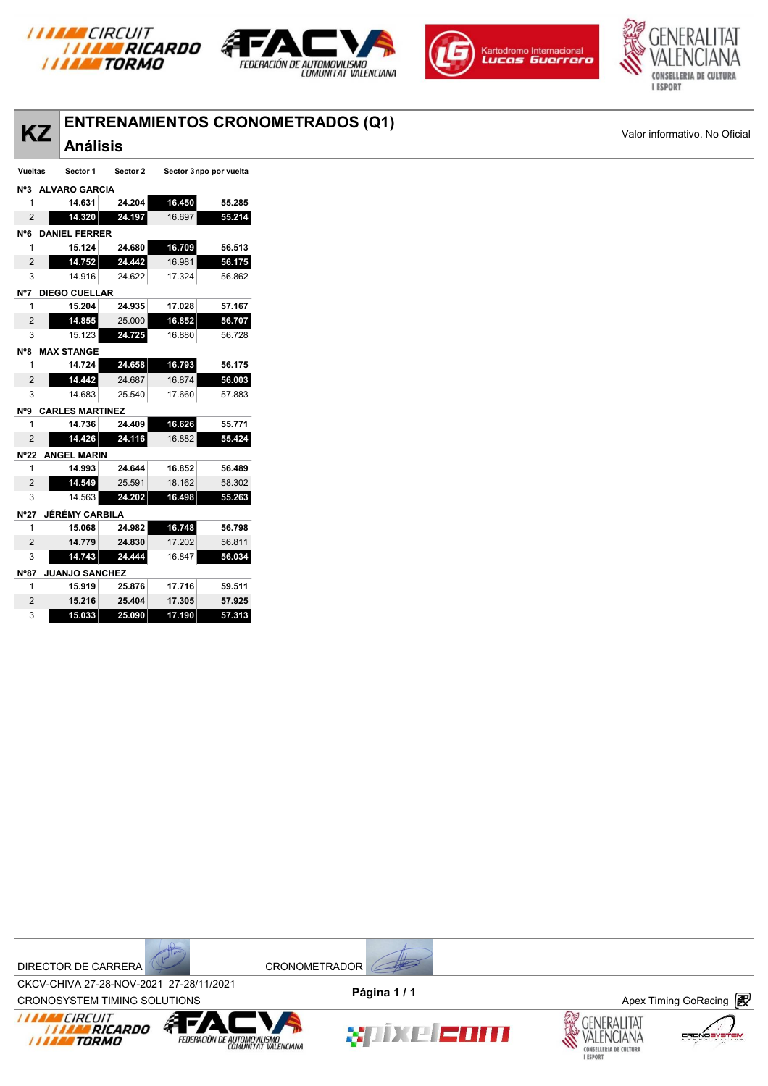







| <b>ENTREN</b>   |
|-----------------|
| <b>Análisis</b> |

**KZ** ENTRENAMIENTOS CRONOMETRADOS (Q1)<br>
Valor informativo. No Oficial<br>
Vueltas Sector 1 Sector 2 Sector 3 npo por vuelta **Nº3 ALVARO GARCIA 14.631 24.204 16.450 55.285 14.320 24.197** 16.697 **55.214 Nº6 DANIEL FERRER 15.124 24.680 16.709 56.513 14.752 24.442** 16.981 **56.175** 14.916 24.622 17.324 56.862 **Nº7 DIEGO CUELLAR 15.204 24.935 17.028 57.167 14.855** 25.000 **16.852 56.707** 15.123 **24.725** 16.880 56.728 **Nº8 MAX STANGE 14.724 24.658 16.793 56.175 14.442** 24.687 16.874 **56.003** 14.683 25.540 17.660 57.883 **Nº9 CARLES MARTINEZ 14.736 24.409 16.626 55.771 14.426 24.116** 16.882 **55.424 Nº22 ANGEL MARIN 14.993 24.644 16.852 56.489 14.549** 25.591 18.162 58.302 14.563 **24.202 16.498 55.263 Nº27 JÉRÉMY CARBILA 15.068 24.982 16.748 56.798**

| 24.830<br>2<br>14.779<br>17.202    | 56.811 |
|------------------------------------|--------|
| 14.743<br>24,444<br>3<br>16.847    | 56.034 |
| <b>JUANJO SANCHEZ</b><br>$N^{o}87$ |        |
| 15.919<br>17.716<br>25.876<br>1    | 59.511 |
| 2<br>15.216<br>25.404<br>17.305    | 57.925 |
| 25,090<br>3<br>15,033<br>17.190    | 57.313 |

DIRECTOR DE CARRERA CRONOMETRADOR



CROV-CHIVA 27-20-NOV-2021 27-20711/2021<br>CRONOSYSTEM TIMING SOLUTIONS **Apex Timing GoRacing** CKCV-CHIVA 27-28-NOV-2021 27-28/11/2021









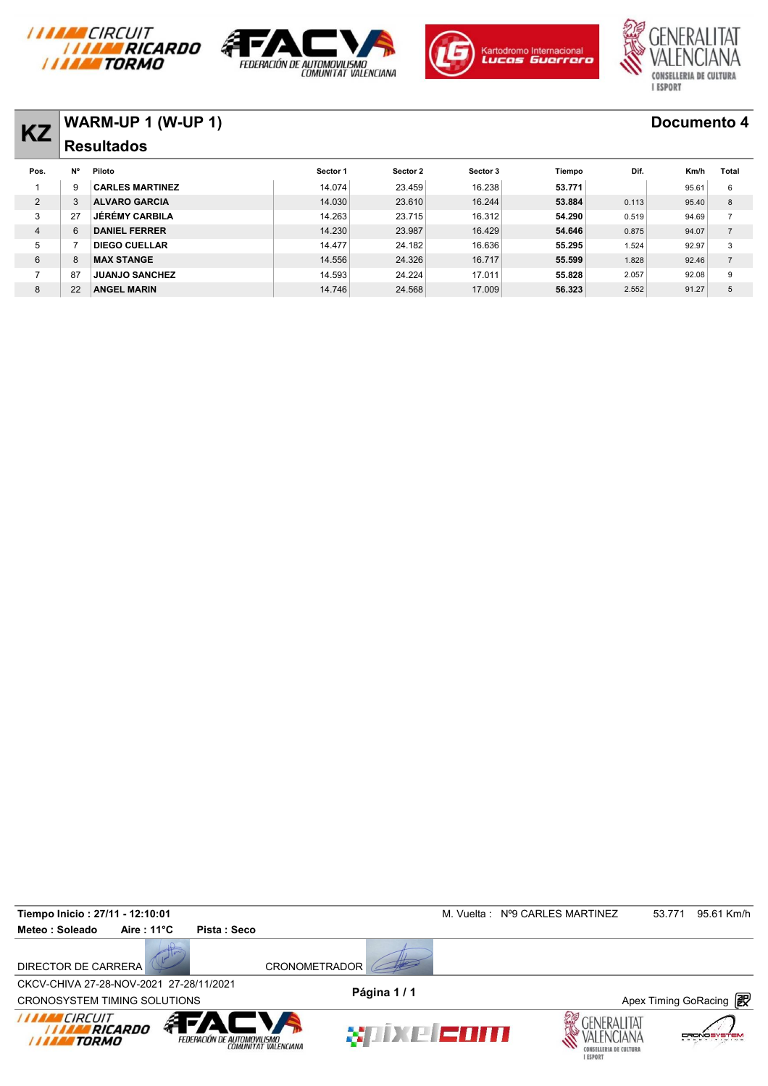







# **KZ WARM-UP 1 (W-UP 1) Documento 4**

| <b>KZ</b> |    | VVARIVI-UF I (VV-UF I) |          |          |          |        |       | <b>DOCUMBING 4</b> |                |
|-----------|----|------------------------|----------|----------|----------|--------|-------|--------------------|----------------|
|           |    | <b>Resultados</b>      |          |          |          |        |       |                    |                |
| Pos.      | N° | Piloto                 | Sector 1 | Sector 2 | Sector 3 | Tiempo | Dif.  | Km/h               | Total          |
|           | g  | <b>CARLES MARTINEZ</b> | 14.074   | 23.459   | 16.238   | 53.771 |       | 95.61              | 6              |
| 2         | 3  | <b>ALVARO GARCIA</b>   | 14.030   | 23.610   | 16.244   | 53.884 | 0.113 | 95.40              | 8              |
| 3         | 27 | <b>JÉRÉMY CARBILA</b>  | 14.263   | 23.715   | 16.312   | 54.290 | 0.519 | 94.69              | $\overline{7}$ |
| 4         | 6  | <b>DANIEL FERRER</b>   | 14.230   | 23.987   | 16.429   | 54.646 | 0.875 | 94.07              | $\overline{7}$ |
| 5         |    | <b>DIEGO CUELLAR</b>   | 14.477   | 24.182   | 16.636   | 55.295 | 1.524 | 92.97              | 3              |
| 6         | 8  | <b>MAX STANGE</b>      | 14.556   | 24.326   | 16.717   | 55.599 | 1.828 | 92.46              | $\overline{7}$ |
|           | 87 | <b>JUANJO SANCHEZ</b>  | 14.593   | 24.224   | 17.011   | 55.828 | 2.057 | 92.08              | 9              |
| 8         | 22 | <b>ANGEL MARIN</b>     | 14.746   | 24.568   | 17.009   | 56.323 | 2.552 | 91.27              | 5              |
|           |    |                        |          |          |          |        |       |                    |                |

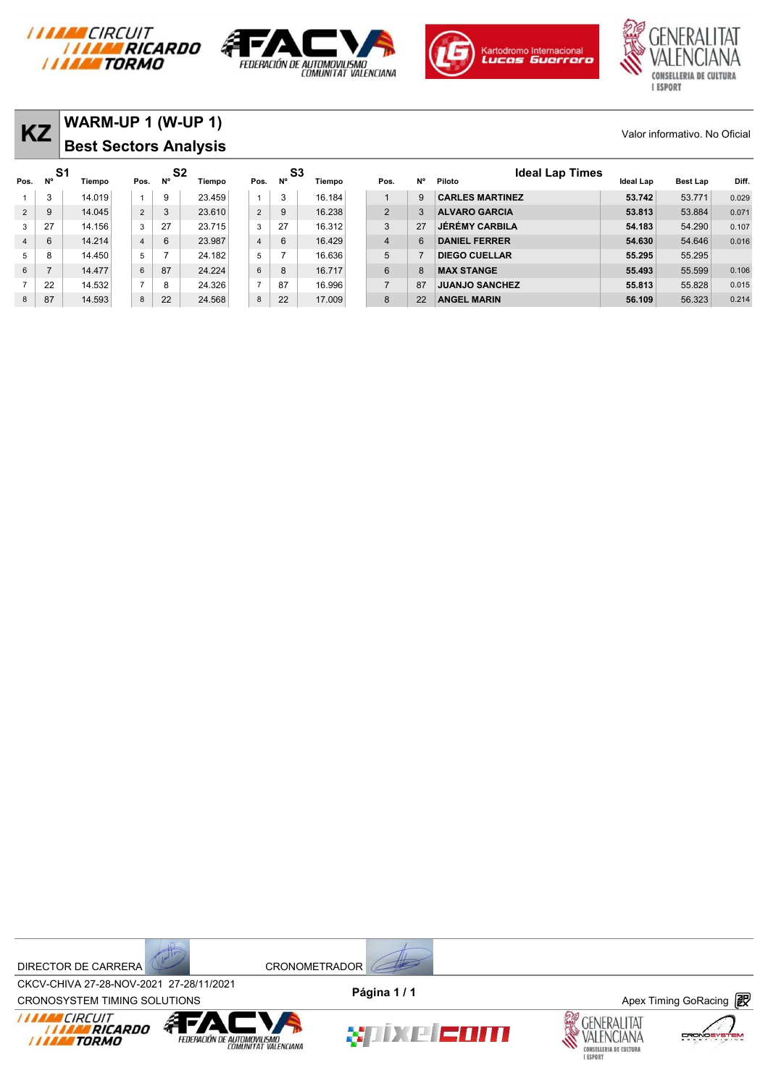







| <b>KZ</b>      |          | WARM-UP 1 (W-UP 1)<br><b>Best Sectors Analysis</b> |                |                      |        |                |    |              |                |           |                                  |           | Valor informativo. No Oficial |       |
|----------------|----------|----------------------------------------------------|----------------|----------------------|--------|----------------|----|--------------|----------------|-----------|----------------------------------|-----------|-------------------------------|-------|
| Pos.           | S1<br>N° | Tiempo                                             | Pos.           | S <sub>2</sub><br>N° | Tiempo | Pos.           | N° | S3<br>Tiempo | Pos.           | <b>N°</b> | <b>Ideal Lap Times</b><br>Piloto | Ideal Lap | <b>Best Lap</b>               | Diff. |
|                | 3        | 14.019                                             |                | 9                    | 23.459 |                | 3  | 16.184       |                | 9         | <b>CARLES MARTINEZ</b>           | 53.742    | 53.771                        | 0.029 |
| $\overline{2}$ | 9        | 14.045                                             | $\overline{2}$ | 3                    | 23.610 | $\overline{2}$ | 9  | 16.238       | 2              | 3         | <b>ALVARO GARCIA</b>             | 53.813    | 53.884                        | 0.071 |
| 3              | 27       | 14.156                                             | 3              | 27                   | 23.715 | 3              | 27 | 16.312       | 3              | 27        | <b>JÉRÉMY CARBILA</b>            | 54.183    | 54.290                        | 0.107 |
| $\overline{4}$ | 6        | 14.214                                             | $\overline{4}$ | 6                    | 23.987 | $\overline{4}$ | 6  | 16.429       | $\overline{4}$ | 6         | <b>DANIEL FERRER</b>             | 54.630    | 54,646                        | 0.016 |
| 5              | 8        | 14.450                                             | 5              |                      | 24.182 | 5              | ⇁  | 16.636       | 5              |           | <b>DIEGO CUELLAR</b>             | 55.295    | 55.295                        |       |
| 6              |          | 14.477                                             | 6              | 87                   | 24.224 | 6              | 8  | 16.717       | 6              | 8         | <b>MAX STANGE</b>                | 55.493    | 55,599                        | 0.106 |
| $\overline{7}$ | 22       | 14.532                                             | $\overline{7}$ | 8                    | 24.326 | $\overline{z}$ | 87 | 16.996       | $\overline{7}$ | 87        | <b>JUANJO SANCHEZ</b>            | 55.813    | 55.828                        | 0.015 |
| 8              | 87       | 14.593                                             | 8              | 22                   | 24.568 | 8              | 22 | 17.009       | 8              | 22        | <b>ANGEL MARIN</b>               | 56.109    | 56.323                        | 0.214 |



CROV-CHIVA 27-20-NOV-2021 27-20711/2021<br>CRONOSYSTEM TIMING SOLUTIONS **Apex Timing GoRacing** CKCV-CHIVA 27-28-NOV-2021 27-28/11/2021 **Página 1 / 1**







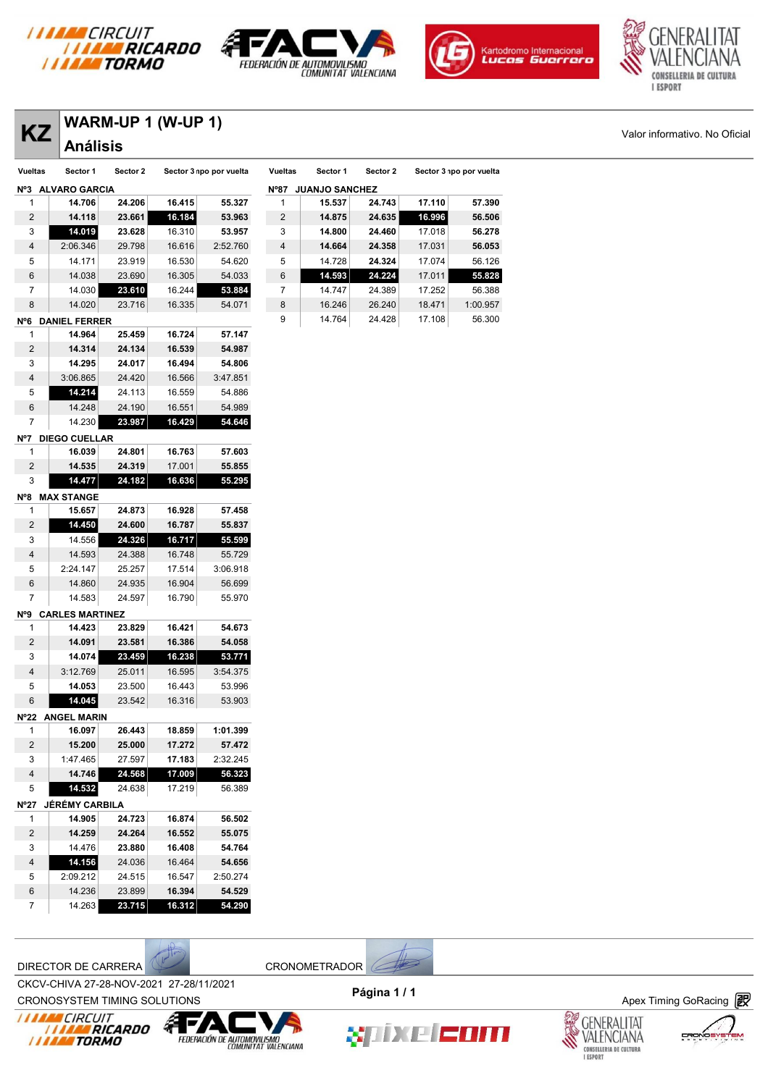







# **KZ** WARM-UP 1 (W-UP 1) Valor informativo. No Oficial

| ΚZ      | Análisis               |          | VARIVI-UF I (VV-UF I) |                         |                |
|---------|------------------------|----------|-----------------------|-------------------------|----------------|
| Vueltas | Sector 1               | Sector 2 |                       | Sector 3 npo por vuelta | Vuel           |
| N°3     | <b>ALVARO GARCIA</b>   |          |                       |                         | N°8            |
| 1       | 14.706                 | 24.206   | 16.415                | 55.327                  | 1              |
| 2       | 14.118                 | 23.661   | 16.184                | 53.963                  | $\overline{a}$ |
| 3       | 14.019                 | 23.628   | 16.310                | 53.957                  | 3              |
| 4       | 2:06.346               | 29.798   | 16.616                | 2:52.760                | 4              |
| 5       | 14.171                 | 23.919   | 16.530                | 54.620                  | 5              |
| 6       | 14.038                 | 23.690   | 16.305                | 54.033                  | 6              |
| 7       | 14.030                 | 23.610   | 16.244                | 53.884                  | 7              |
| 8       | 14.020                 | 23.716   | 16.335                | 54.071                  | 8              |
| N°6     | <b>DANIEL FERRER</b>   |          |                       |                         | 9              |
| 1       | 14.964                 | 25.459   | 16.724                | 57.147                  |                |
| 2       | 14.314                 | 24.134   | 16.539                | 54.987                  |                |
| 3       | 14.295                 | 24.017   | 16.494                | 54.806                  |                |
| 4       | 3:06.865               | 24.420   | 16.566                | 3:47.851                |                |
| 5       | 14.214                 | 24.113   | 16.559                | 54.886                  |                |
| 6       | 14.248                 | 24.190   | 16.551                | 54.989                  |                |
| 7       | 14.230                 | 23.987   | 16.429                | 54.646                  |                |
| N°7     | <b>DIEGO CUELLAR</b>   |          |                       |                         |                |
| 1       | 16.039                 | 24.801   | 16.763                | 57.603                  |                |
| 2       | 14.535                 | 24.319   | 17.001                | 55.855                  |                |
| 3       | 14.477                 | 24.182   | 16.636                | 55.295                  |                |
| N°8     | <b>MAX STANGE</b>      |          |                       |                         |                |
| 1       | 15.657                 | 24.873   | 16.928                | 57.458                  |                |
| 2       | 14.450                 | 24.600   | 16.787                | 55.837                  |                |
| 3       | 14.556                 | 24.326   | 16.717                | 55.599                  |                |
| 4       | 14.593                 | 24.388   | 16.748                | 55.729                  |                |
| 5       | 2:24.147               | 25.257   | 17.514                | 3:06.918                |                |
| 6       | 14.860                 | 24.935   | 16.904                | 56.699                  |                |
| 7       | 14.583                 | 24.597   | 16.790                | 55.970                  |                |
| N°9     | <b>CARLES MARTINEZ</b> |          |                       |                         |                |
| 1       | 14.423                 | 23.829   | 16.421                | 54.673                  |                |
| 2       | 14.091                 | 23.581   | 16.386                | 54.058                  |                |
| 3       | 14.074                 | 23.459   | 16.238                | 53.771                  |                |
| 4       | 3:12.769               | 25.011   | 16.595                | 3:54.375                |                |
| 5       | 14.053                 | 23.500   | 16.443                | 53.996                  |                |
| 6       | 14.045                 | 23.542   | 16.316                | 53.903                  |                |
| N°22    | <b>ANGEL MARIN</b>     |          |                       |                         |                |
| 1       | 16.097                 | 26.443   | 18.859                | 1:01.399                |                |
| 2       | 15.200                 | 25.000   | 17.272                | 57.472                  |                |
| 3       | 1:47.465               | 27.597   | 17.183                | 2:32.245                |                |
| 4       | 14.746                 | 24.568   | 17.009                | 56.323                  |                |
| 5       | 14.532                 | 24.638   | 17.219                | 56.389                  |                |
| N°27    | JÉRÉMY CARBILA         |          |                       |                         |                |
| 1       | 14.905                 | 24.723   | 16.874                | 56.502                  |                |
| 2       | 14.259                 | 24.264   | 16.552                | 55.075                  |                |
| 3       | 14.476                 | 23.880   | 16.408                | 54.764                  |                |
| 4       | 14.156                 | 24.036   | 16.464                | 54.656                  |                |
| 5       | 2:09.212               | 24.515   | 16.547                | 2:50.274                |                |
| 6       | 14.236                 | 23.899   | 16.394                | 54.529                  |                |
| 7       | 14.263                 | 23.715   | 16.312                | 54.290                  |                |

| <b>Vueltas</b> | Sector 1              | Sector 2 |        | Sector 3 npo por vuelta |
|----------------|-----------------------|----------|--------|-------------------------|
| N°87           | <b>JUANJO SANCHEZ</b> |          |        |                         |
| 1              | 15.537                | 24.743   | 17.110 | 57.390                  |
| 2              | 14.875                | 24.635   | 16,996 | 56.506                  |
| 3              | 14.800                | 24.460   | 17.018 | 56.278                  |
| $\overline{4}$ | 14.664                | 24.358   | 17.031 | 56.053                  |
| 5              | 14.728                | 24.324   | 17.074 | 56.126                  |
| 6              | 14.593                | 24.224   | 17.011 | 55.828                  |
| 7              | 14.747                | 24.389   | 17.252 | 56.388                  |
| 8              | 16.246                | 26.240   | 18.471 | 1:00.957                |
| 9              | 14.764                | 24.428   | 17.108 | 56.300                  |

DIRECTOR DE CARRERA (CRONOMETRADOR)

CKCV-CHIVA 27-28-NOV-2021 27-28/11/2021 **Página 1 / 1**



*I I I I I I CIRCUIT<br>I I I I I I RICARDO*<br>I I I I I I TORMO







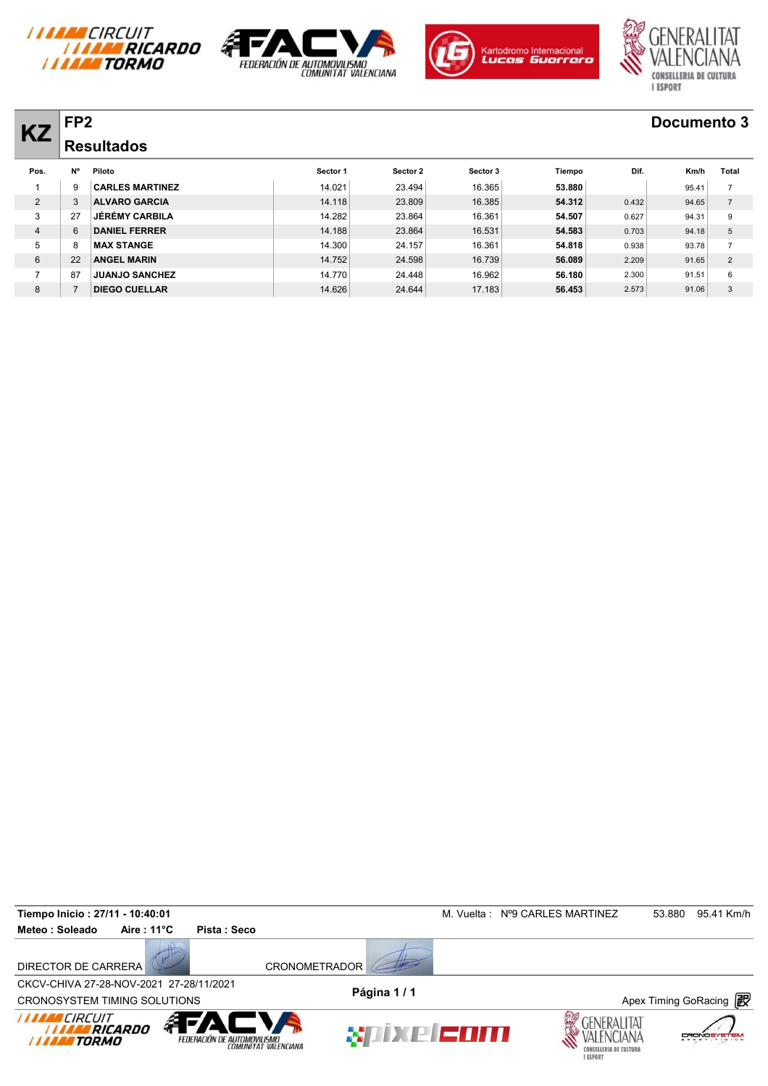







### **KZ FP2 Documento 3 Resultados**

| <b>KZ</b>      | FF4 |                        |          |          |          |        |       | <b>DOCUMBILO 9</b> |                |
|----------------|-----|------------------------|----------|----------|----------|--------|-------|--------------------|----------------|
|                |     | <b>Resultados</b>      |          |          |          |        |       |                    |                |
| Pos.           | N°  | Piloto                 | Sector 1 | Sector 2 | Sector 3 | Tiempo | Dif.  | Km/h               | Total          |
|                | 9   | <b>CARLES MARTINEZ</b> | 14.021   | 23.494   | 16.365   | 53,880 |       | 95.41              | $\overline{7}$ |
| $\overline{2}$ | 3   | <b>ALVARO GARCIA</b>   | 14.118   | 23.809   | 16.385   | 54.312 | 0.432 | 94.65              | $\overline{7}$ |
| 3              | 27  | JÉRÉMY CARBILA         | 14.282   | 23.864   | 16.361   | 54.507 | 0.627 | 94.31              | 9              |
| $\overline{4}$ | 6   | <b>DANIEL FERRER</b>   | 14.188   | 23.864   | 16.531   | 54.583 | 0.703 | 94.18              | 5              |
| 5              | 8   | <b>MAX STANGE</b>      | 14.300   | 24.157   | 16.361   | 54.818 | 0.938 | 93.78              | $\overline{7}$ |
| 6              | 22  | <b>ANGEL MARIN</b>     | 14.752   | 24.598   | 16.739   | 56.089 | 2.209 | 91.65              | 2              |
|                | 87  | <b>JUANJO SANCHEZ</b>  | 14.770   | 24.448   | 16.962   | 56.180 | 2.300 | 91.51              | 6              |
| 8              |     | <b>DIEGO CUELLAR</b>   | 14.626   | 24.644   | 17.183   | 56.453 | 2.573 | 91.06              | 3              |

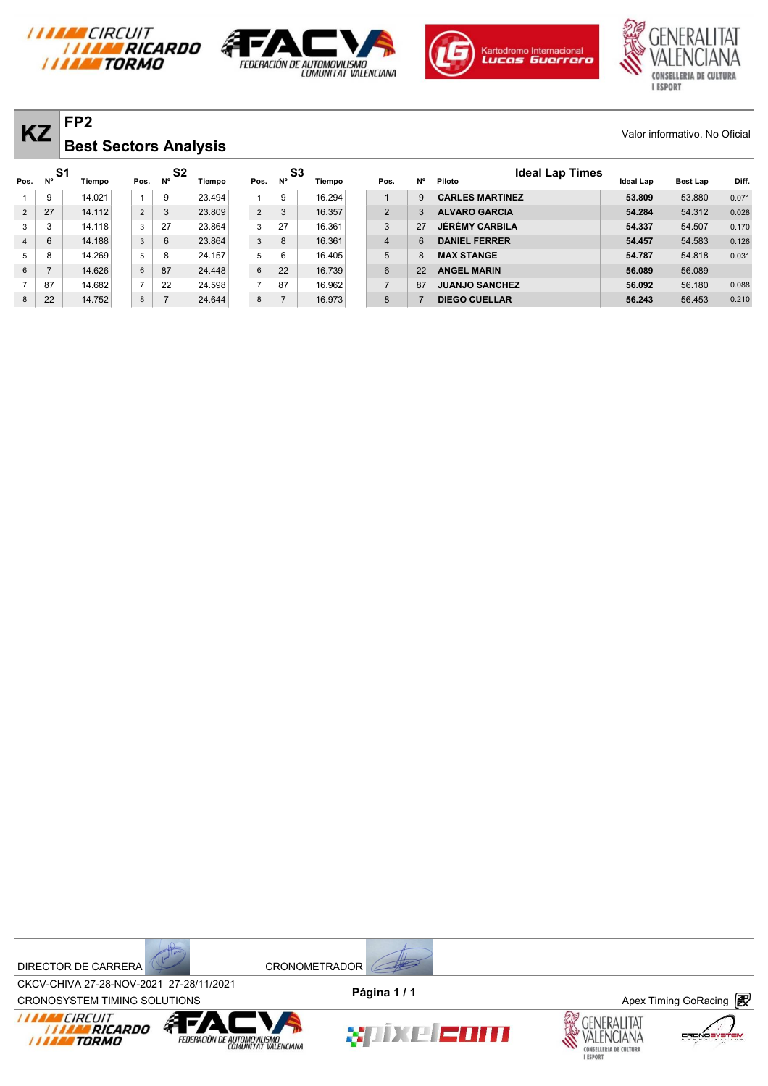







| $\overline{KZ}$ Best Sectors Analysis | Valor informativo. No Oficial |
|---------------------------------------|-------------------------------|
|                                       |                               |

| <b>KZ</b>      |    | FP <sub>2</sub>              |                |                             |        |                |                      |        |                |    |                                  |           | Valor informativo. No Oficial |       |
|----------------|----|------------------------------|----------------|-----------------------------|--------|----------------|----------------------|--------|----------------|----|----------------------------------|-----------|-------------------------------|-------|
|                |    | <b>Best Sectors Analysis</b> |                |                             |        |                |                      |        |                |    |                                  |           |                               |       |
| Pos.           | Ν° | S1<br>Tiempo                 | Pos.           | S <sub>2</sub><br><b>N°</b> | Tiempo | Pos.           | S <sub>3</sub><br>N° | Tiempo | Pos.           | N° | <b>Ideal Lap Times</b><br>Piloto | Ideal Lap | <b>Best Lap</b>               | Diff. |
|                | 9  | 14.021                       | $\mathbf{1}$   | 9                           | 23.494 |                | 9                    | 16.294 |                | 9  | <b>CARLES MARTINEZ</b>           | 53.809    | 53.880                        | 0.071 |
| $\overline{2}$ | 27 | 14.112                       | $\overline{2}$ | 3                           | 23.809 | $\overline{2}$ | 3                    | 16.357 | 2              | 3  | <b>ALVARO GARCIA</b>             | 54.284    | 54.312                        | 0.028 |
| 3              | 3  | 14.118                       | 3              | 27                          | 23.864 | 3              | 27                   | 16.361 | 3              | 27 | <b>JÉRÉMY CARBILA</b>            | 54.337    | 54.507                        | 0.170 |
| $\overline{4}$ | 6  | 14.188                       | $\mathbf{3}$   | 6                           | 23.864 | 3              | 8                    | 16.361 | $\overline{4}$ | 6  | <b>DANIEL FERRER</b>             | 54.457    | 54.583                        | 0.126 |
| 5              | 8  | 14.269                       | 5              | 8                           | 24.157 | 5              | 6                    | 16.405 | 5              | 8  | <b>MAX STANGE</b>                | 54.787    | 54.818                        | 0.031 |
| 6              | 7  | 14.626                       | $6\phantom{.}$ | 87                          | 24.448 | $6\phantom{a}$ | 22                   | 16.739 | 6              | 22 | <b>ANGEL MARIN</b>               | 56.089    | 56.089                        |       |
|                | 87 | 14.682                       | $\overline{7}$ | 22                          | 24.598 | $\overline{7}$ | 87                   | 16.962 | $\overline{7}$ | 87 | <b>JUANJO SANCHEZ</b>            | 56.092    | 56.180                        | 0.088 |
| 8              | 22 | 14.752                       | 8              | $\overline{ }$              | 24.644 | 8              |                      | 16.973 | 8              |    | <b>DIEGO CUELLAR</b>             | 56.243    | 56.453                        | 0.210 |



CROV-CHIVA 27-20-NOV-2021 27-20711/2021<br>CRONOSYSTEM TIMING SOLUTIONS **Apex Timing GoRacing** CKCV-CHIVA 27-28-NOV-2021 27-28/11/2021 **Página 1 / 1**









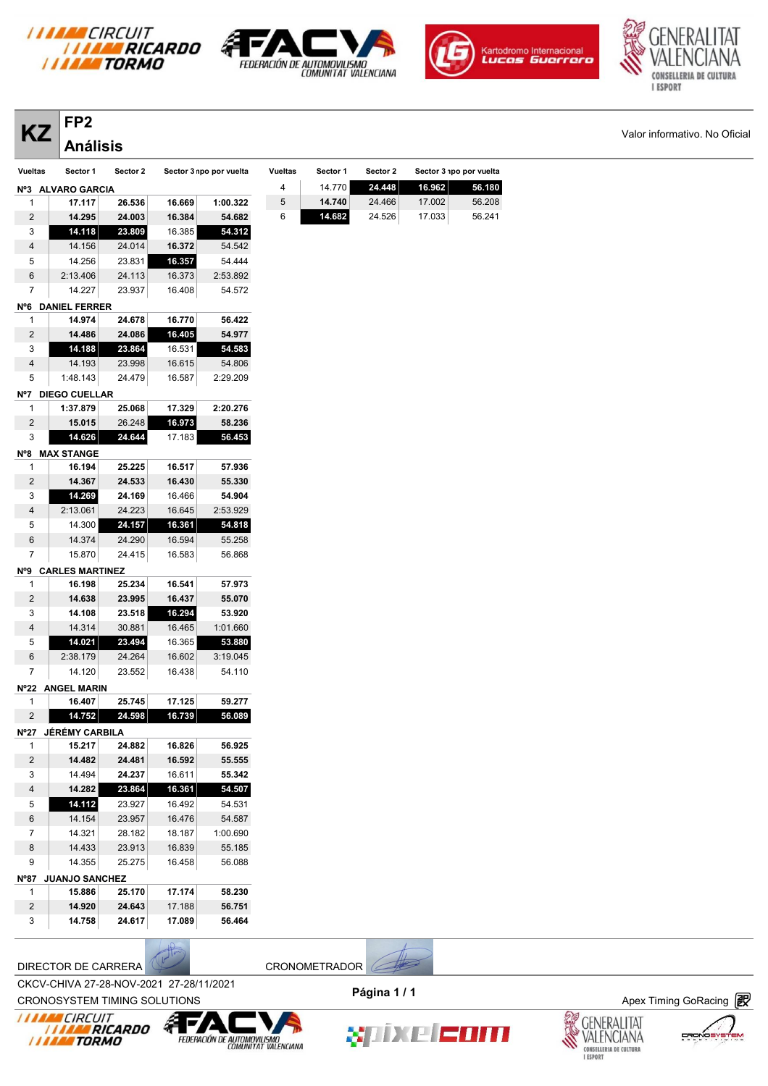

 **14.118 23.809** 16.385 **54.312** 14.156 24.014 **16.372** 54.542 14.256 23.831 **16.357** 54.444 2:13.406 24.113 16.373 2:53.892 14.227 23.937 16.408 54.572

 **14.974 24.678 16.770 56.422 14.486 24.086 16.405 54.977 14.188 23.864** 16.531 **54.583** 14.193 23.998 16.615 54.806 1:48.143 24.479 16.587 2:29.209

 **1:37.879 25.068 17.329 2:20.276 15.015** 26.248 **16.973 58.236 14.626 24.644** 17.183 **56.453**

 **16.194 25.225 16.517 57.936 14.367 24.533 16.430 55.330 14.269 24.169** 16.466 **54.904** 2:13.061 24.223 16.645 2:53.929 14.300 **24.157 16.361 54.818** 14.374 24.290 16.594 55.258 15.870 24.415 16.583 56.868

 **16.198 25.234 16.541 57.973 14.638 23.995 16.437 55.070 14.108 23.518 16.294 53.920** 14.314 30.881 16.465 1:01.660 **14.021 23.494** 16.365 **53.880** 2:38.179 24.264 16.602 3:19.045 14.120 23.552 16.438 54.110

 **16.407 25.745 17.125 59.277 14.752 24.598 16.739 56.089**

 **15.217 24.882 16.826 56.925 14.482 24.481 16.592 55.555** 14.494 **24.237** 16.611 **55.342 14.282 23.864 16.361 54.507 14.112** 23.927 16.492 54.531 14.154 23.957 16.476 54.587 14.321 28.182 18.187 1:00.690 14.433 23.913 16.839 55.185 14.355 25.275 16.458 56.088

 **15.886 25.170 17.174 58.230 14.920 24.643** 17.188 **56.751 14.758 24.617 17.089 56.464**







**KZ**  $\overline{X}$  Valor informativo. No Oficial

**FP2 Análisis** 

**Nº6 DANIEL FERRER**

**Nº7 DIEGO CUELLAR**

**Nº8 MAX STANGE**

**Nº9 CARLES MARTINEZ**

**Nº22 ANGEL MARIN**

**Nº27 JÉRÉMY CARBILA**

|         | ГF 4              |          |        |                         |                |          |          |                         |        |
|---------|-------------------|----------|--------|-------------------------|----------------|----------|----------|-------------------------|--------|
|         | <b>Análisis</b>   |          |        |                         |                |          |          |                         |        |
| Vueltas | Sector 1          | Sector 2 |        | Sector 3 npo por vuelta | <b>Vueltas</b> | Sector 1 | Sector 2 | Sector 3 npo por vuelta |        |
|         | Nº3 ALVARO GARCIA |          |        |                         | 4              | 14.770   | 24.448   | 16.962                  | 56.180 |
|         | 17.117            | 26.536   | 16.669 | 1:00.322                | 5              | 14.740   | 24.466   | 17.002                  | 56.208 |
| 2       | 14.295            | 24.003   | 16.384 | 54.682                  | 6              | 14.682   | 24.526   | 17.033                  | 56.241 |

**I MAN CIRCUIT** 

**Nº87 JUANJO SANCHEZ**

CKCV-CHIVA 27-28-NOV-2021 27-28/11/2021



CROV-CHIVA 27-26-NOV-2021 27-26/11/2021<br>CRONOSYSTEM TIMING SOLUTIONS **Apex Timing GoRacing** 









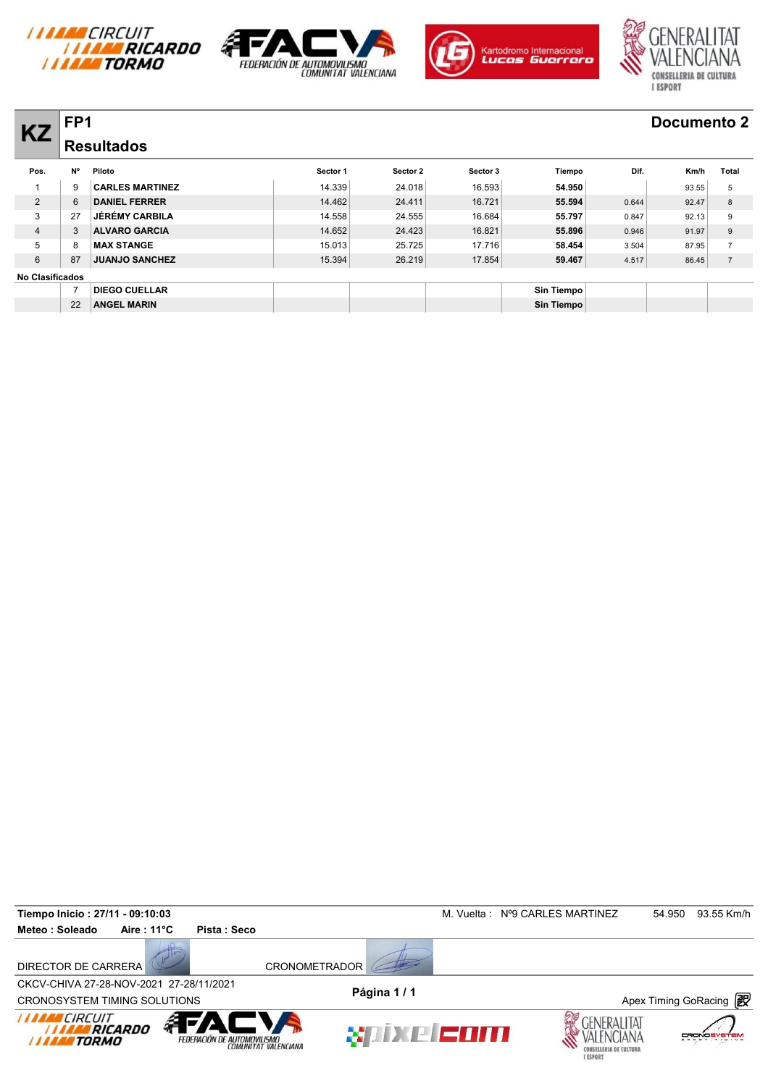







|                        | FP <sub>1</sub> |                        |          |          |          |            |       | Documento 2 |                |
|------------------------|-----------------|------------------------|----------|----------|----------|------------|-------|-------------|----------------|
| <b>KZ</b>              |                 | <b>Resultados</b>      |          |          |          |            |       |             |                |
| Pos.                   | <b>N°</b>       | Piloto                 | Sector 1 | Sector 2 | Sector 3 | Tiempo     | Dif.  | Km/h        | Total          |
|                        | 9               | <b>CARLES MARTINEZ</b> | 14.339   | 24.018   | 16.593   | 54.950     |       | 93.55       | 5              |
| $\overline{2}$         | 6               | <b>DANIEL FERRER</b>   | 14.462   | 24.411   | 16.721   | 55.594     | 0.644 | 92.47       | 8              |
| 3                      | 27              | <b>JÉRÉMY CARBILA</b>  | 14.558   | 24.555   | 16.684   | 55.797     | 0.847 | 92.13       | 9              |
| $\overline{4}$         |                 | <b>ALVARO GARCIA</b>   | 14.652   | 24.423   | 16.821   | 55.896     | 0.946 | 91.97       | 9              |
| 5                      | 8               | <b>MAX STANGE</b>      | 15.013   | 25.725   | 17.716   | 58.454     | 3.504 | 87.95       |                |
| 6                      | 87              | <b>JUANJO SANCHEZ</b>  | 15.394   | 26.219   | 17.854   | 59.467     | 4.517 | 86.45       | $\overline{7}$ |
| <b>No Clasificados</b> |                 |                        |          |          |          |            |       |             |                |
|                        |                 | <b>DIEGO CUELLAR</b>   |          |          |          | Sin Tiempo |       |             |                |
|                        | 22              | <b>ANGEL MARIN</b>     |          |          |          | Sin Tiempo |       |             |                |

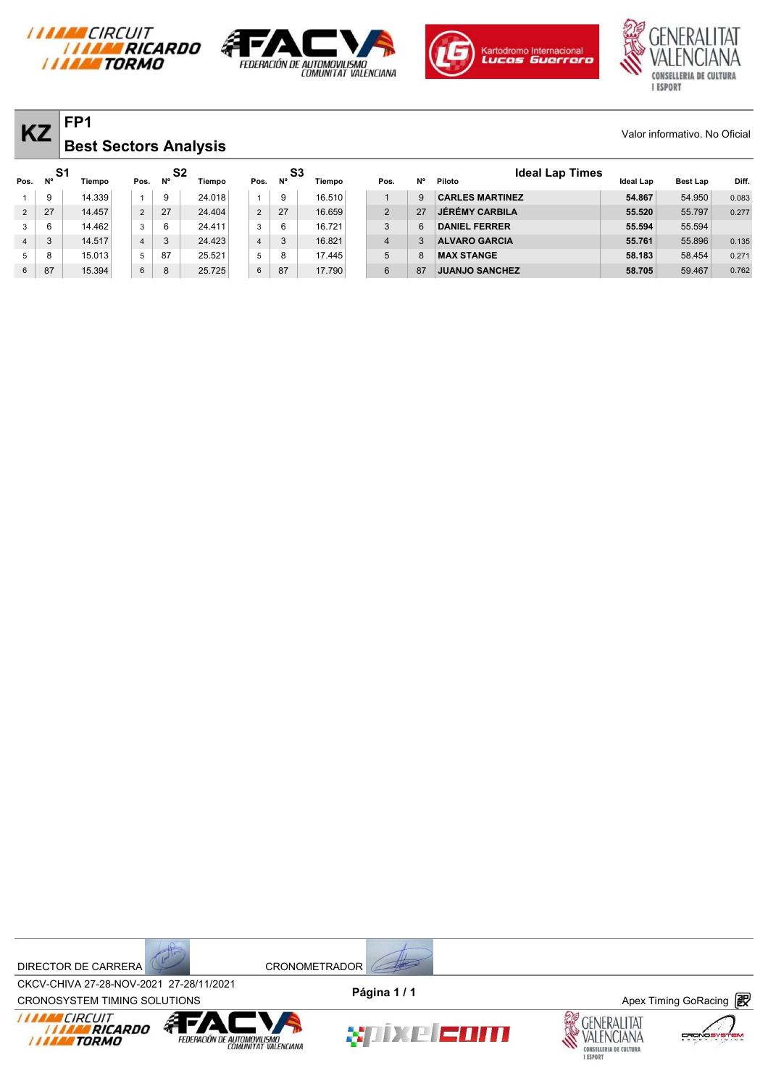







| <b>KZ</b>       |           | FP <sub>1</sub><br><b>Best Sectors Analysis</b> |                |           |                |        |                |                   |        |                |           |                                  |                  | Valor informativo. No Oficial |       |
|-----------------|-----------|-------------------------------------------------|----------------|-----------|----------------|--------|----------------|-------------------|--------|----------------|-----------|----------------------------------|------------------|-------------------------------|-------|
| Pos.            | <b>N°</b> | S1<br>Tiempo                                    | Pos.           | <b>N°</b> | S <sub>2</sub> | Tiempo | Pos.           | S3<br>$N^{\circ}$ | Tiempo | Pos.           | <b>N°</b> | <b>Ideal Lap Times</b><br>Piloto | <b>Ideal Lap</b> | <b>Best Lap</b>               | Diff. |
|                 | 9         | 14.339                                          |                | 9         |                | 24.018 |                | 9                 | 16.510 |                | 9         | <b>CARLES MARTINEZ</b>           | 54.867           | 54.950                        | 0.083 |
| $\overline{2}$  | 27        | 14.457                                          | $\overline{2}$ | 27        |                | 24.404 | 2              | 27                | 16.659 | 2              | 27        | <b>JÉRÉMY CARBILA</b>            | 55.520           | 55.797                        | 0.277 |
| 3               | 6         | 14.462                                          | 3              | 6         |                | 24.411 | 3              | 6                 | 16.721 | 3              | ี่ค       | <b>DANIEL FERRER</b>             | 55.594           | 55.594                        |       |
| $\overline{4}$  | 3         | 14.517                                          | $\overline{4}$ | 3         |                | 24.423 | $\overline{4}$ | 3                 | 16.821 | $\overline{4}$ | 3         | <b>ALVARO GARCIA</b>             | 55.761           | 55.896                        | 0.135 |
| 5               | 8         | 15.013                                          | 5              | 87        |                | 25.521 | 5              | 8                 | 17.445 | 5              | 8         | <b>MAX STANGE</b>                | 58.183           | 58.454                        | 0.271 |
| $6\overline{6}$ | 87        | 15.394                                          | 6              | 8         |                | 25.725 | 6              | 87                | 17.790 | 6              | 87        | <b>JUANJO SANCHEZ</b>            | 58.705           | 59.467                        | 0.762 |

DIRECTOR DE CARRERA CRONOMETRADOR



CROV-CHIVA 27-20-NOV-2021 27-20711/2021<br>CRONOSYSTEM TIMING SOLUTIONS **Apex Timing GoRacing** CKCV-CHIVA 27-28-NOV-2021 27-28/11/2021 **Página 1 / 1**

 $\frac{1}{\sqrt{2}}$ 







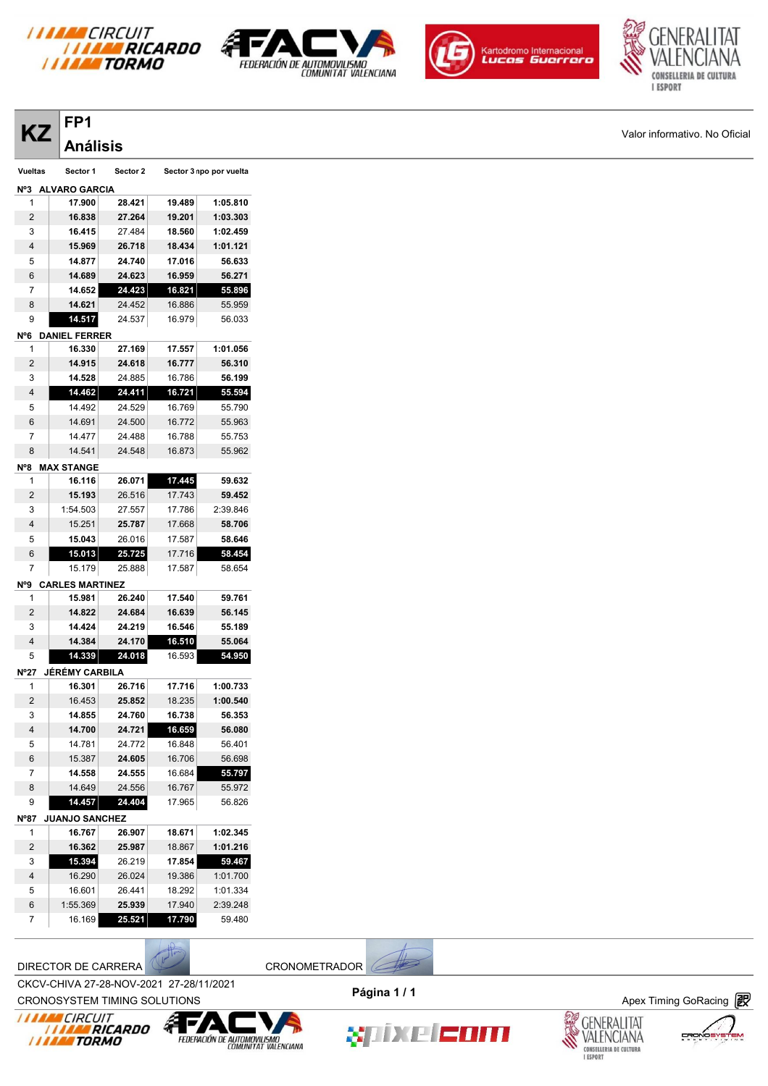

**FP1**







**KZ**  $\vert$ <sup>rPI</sup> Valor informativo. No Oficial

| ΚZ                      | TІ                     |          |        |                         |
|-------------------------|------------------------|----------|--------|-------------------------|
|                         | Análisis               |          |        |                         |
| Vueltas                 | Sector 1               | Sector 2 |        | Sector 3 npo por vuelta |
| N°3                     | <b>ALVARO GARCIA</b>   |          |        |                         |
| 1                       | 17.900                 | 28.421   | 19.489 | 1:05.810                |
| 2                       | 16.838                 | 27.264   | 19.201 | 1:03.303                |
| 3                       | 16.415                 | 27.484   | 18.560 | 1:02.459                |
| 4                       | 15.969                 | 26.718   | 18.434 | 1:01.121                |
| 5                       | 14.877                 | 24.740   | 17.016 | 56.633                  |
| 6                       | 14.689                 | 24.623   | 16.959 | 56.271                  |
| 7                       | 14.652                 | 24.423   | 16.821 | 55.896                  |
| 8                       | 14.621                 | 24.452   | 16.886 | 55.959                  |
| 9                       | 14.517                 | 24.537   | 16.979 | 56.033                  |
| N°6                     | <b>DANIEL FERRER</b>   |          |        |                         |
| 1                       | 16.330                 | 27.169   | 17.557 | 1:01.056                |
| 2                       | 14.915                 | 24.618   | 16.777 | 56.310                  |
| 3                       | 14.528                 | 24.885   | 16.786 | 56.199                  |
| 4                       | 14.462                 | 24.411   | 16.721 | 55.594                  |
| 5                       | 14.492                 | 24.529   | 16.769 | 55.790                  |
| 6                       | 14.691                 | 24.500   | 16.772 | 55.963                  |
| 7                       | 14.477                 | 24.488   | 16.788 | 55.753                  |
| 8                       | 14.541                 | 24.548   | 16.873 | 55.962                  |
|                         |                        |          |        |                         |
| N°8                     | <b>MAX STANGE</b>      |          |        |                         |
| 1                       | 16.116                 | 26.071   | 17.445 | 59.632                  |
| 2                       | 15.193                 | 26.516   | 17.743 | 59.452                  |
| 3                       | 1:54.503               | 27.557   | 17.786 | 2:39.846                |
| 4                       | 15.251                 | 25.787   | 17.668 | 58.706                  |
| 5                       | 15.043                 | 26.016   | 17.587 | 58.646                  |
| 6                       | 15.013                 | 25.725   | 17.716 | 58.454                  |
| 7                       | 15.179                 | 25.888   | 17.587 | 58.654                  |
| N°9                     | <b>CARLES MARTINEZ</b> |          |        |                         |
| 1                       | 15.981                 | 26.240   | 17.540 | 59.761                  |
| 2                       | 14.822                 | 24.684   | 16.639 | 56.145                  |
| 3                       | 14.424                 | 24.219   | 16.546 | 55.189                  |
| 4                       | 14.384                 | 24.170   | 16.510 | 55.064                  |
| 5                       | 14.339                 | 24.018   | 16.593 | 54.950                  |
| <b>N°27</b>             | JÉRÉMY CARBILA         |          |        |                         |
| 1                       | 16.301                 | 26.716   | 17.716 | 1:00.733                |
| $\overline{\mathbf{c}}$ | 16.453                 | 25.852   | 18.235 | 1:00.540                |
| 3                       | 14.855                 | 24.760   | 16.738 | 56.353                  |
| 4                       | 14.700                 | 24.721   | 16.659 | 56.080                  |
| 5                       | 14.781                 | 24.772   | 16.848 | 56.401                  |
| 6                       | 15.387                 | 24.605   | 16.706 | 56.698                  |
| 7                       | 14.558                 | 24.555   | 16.684 | 55.797                  |
| 8                       | 14.649                 | 24.556   | 16.767 | 55.972                  |
| 9                       | 14.457                 | 24.404   | 17.965 | 56.826                  |
| N°87                    | <b>JUANJO SANCHEZ</b>  |          |        |                         |
| 1                       | 16.767                 | 26.907   | 18.671 | 1:02.345                |
| 2                       | 16.362                 | 25.987   | 18.867 | 1:01.216                |
| 3                       | 15.394                 | 26.219   | 17.854 | 59.467                  |
| 4                       | 16.290                 | 26.024   | 19.386 | 1:01.700                |
| 5                       | 16.601                 | 26.441   | 18.292 | 1:01.334                |
| 6                       | 1:55.369               | 25.939   | 17.940 | 2:39.248                |
| 7                       | 16.169                 | 25.521   | 17.790 | 59.480                  |
|                         |                        |          |        |                         |

DIRECTOR DE CARRERA (POSTAGE CRONOMETRADOR)

CKCV-CHIVA 27-28-NOV-2021 27-28/11/2021 **Página 1 / 1**



CROV-CHIVA 27-20-NOV-2021 27-20711/2021<br>CRONOSYSTEM TIMING SOLUTIONS **Apex Timing GoRacing**